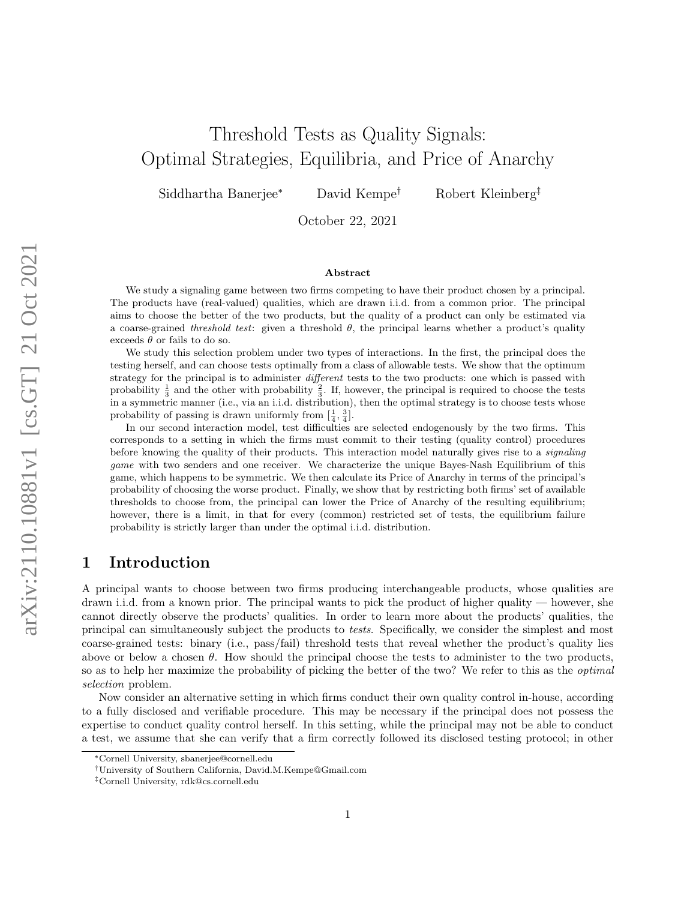# Threshold Tests as Quality Signals: Optimal Strategies, Equilibria, and Price of Anarchy

Siddhartha Banerjee<sup>∗</sup> David Kempe† Robert Kleinberg‡

October 22, 2021

#### Abstract

We study a signaling game between two firms competing to have their product chosen by a principal. The products have (real-valued) qualities, which are drawn i.i.d. from a common prior. The principal aims to choose the better of the two products, but the quality of a product can only be estimated via a coarse-grained threshold test: given a threshold  $\theta$ , the principal learns whether a product's quality exceeds  $\theta$  or fails to do so.

We study this selection problem under two types of interactions. In the first, the principal does the testing herself, and can choose tests optimally from a class of allowable tests. We show that the optimum strategy for the principal is to administer different tests to the two products: one which is passed with probability  $\frac{1}{3}$  and the other with probability  $\frac{2}{3}$ . If, however, the principal is required to choose the tests in a symmetric manner (i.e., via an i.i.d. distribution), then the optimal strategy is to choose tests whose probability of passing is drawn uniformly from  $\left[\frac{1}{4}, \frac{3}{4}\right]$ .

In our second interaction model, test difficulties are selected endogenously by the two firms. This corresponds to a setting in which the firms must commit to their testing (quality control) procedures before knowing the quality of their products. This interaction model naturally gives rise to a signaling game with two senders and one receiver. We characterize the unique Bayes-Nash Equilibrium of this game, which happens to be symmetric. We then calculate its Price of Anarchy in terms of the principal's probability of choosing the worse product. Finally, we show that by restricting both firms' set of available thresholds to choose from, the principal can lower the Price of Anarchy of the resulting equilibrium; however, there is a limit, in that for every (common) restricted set of tests, the equilibrium failure probability is strictly larger than under the optimal i.i.d. distribution.

# 1 Introduction

A principal wants to choose between two firms producing interchangeable products, whose qualities are drawn i.i.d. from a known prior. The principal wants to pick the product of higher quality — however, she cannot directly observe the products' qualities. In order to learn more about the products' qualities, the principal can simultaneously subject the products to tests. Specifically, we consider the simplest and most coarse-grained tests: binary (i.e., pass/fail) threshold tests that reveal whether the product's quality lies above or below a chosen  $\theta$ . How should the principal choose the tests to administer to the two products. so as to help her maximize the probability of picking the better of the two? We refer to this as the optimal selection problem.

Now consider an alternative setting in which firms conduct their own quality control in-house, according to a fully disclosed and verifiable procedure. This may be necessary if the principal does not possess the expertise to conduct quality control herself. In this setting, while the principal may not be able to conduct a test, we assume that she can verify that a firm correctly followed its disclosed testing protocol; in other

<sup>∗</sup>Cornell University, sbanerjee@cornell.edu

<sup>†</sup>University of Southern California, David.M.Kempe@Gmail.com

<sup>‡</sup>Cornell University, rdk@cs.cornell.edu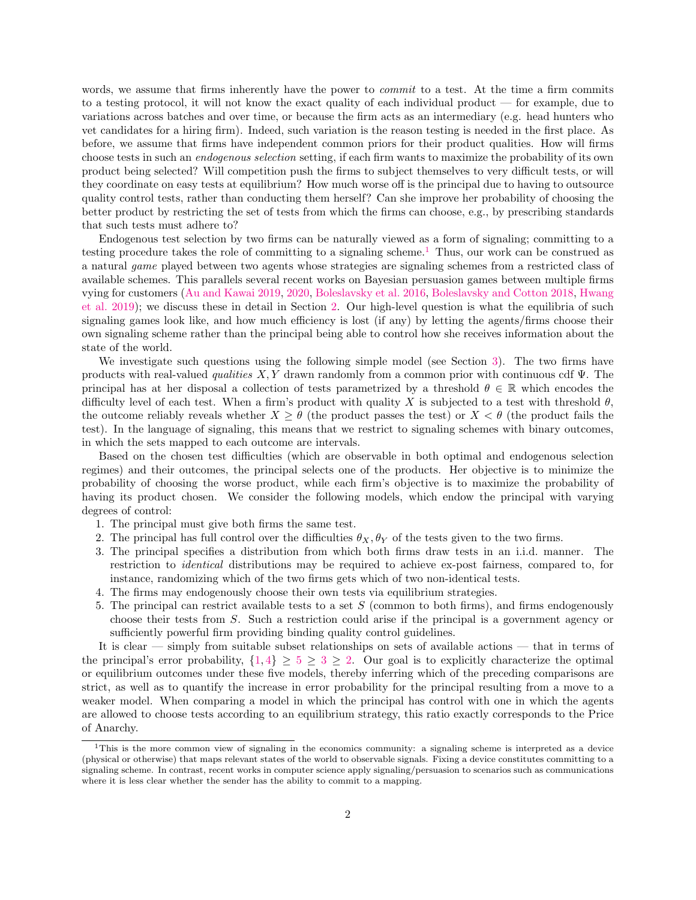words, we assume that firms inherently have the power to *commit* to a test. At the time a firm commits to a testing protocol, it will not know the exact quality of each individual product — for example, due to variations across batches and over time, or because the firm acts as an intermediary (e.g. head hunters who vet candidates for a hiring firm). Indeed, such variation is the reason testing is needed in the first place. As before, we assume that firms have independent common priors for their product qualities. How will firms choose tests in such an endogenous selection setting, if each firm wants to maximize the probability of its own product being selected? Will competition push the firms to subject themselves to very difficult tests, or will they coordinate on easy tests at equilibrium? How much worse off is the principal due to having to outsource quality control tests, rather than conducting them herself? Can she improve her probability of choosing the better product by restricting the set of tests from which the firms can choose, e.g., by prescribing standards that such tests must adhere to?

Endogenous test selection by two firms can be naturally viewed as a form of signaling; committing to a testing procedure takes the role of committing to a signaling scheme.<sup>[1](#page-1-0)</sup> Thus, our work can be construed as a natural game played between two agents whose strategies are signaling schemes from a restricted class of available schemes. This parallels several recent works on Bayesian persuasion games between multiple firms vying for customers [\(Au and Kawai](#page-29-0) [2019,](#page-29-0) [2020,](#page-29-1) [Boleslavsky et al.](#page-29-2) [2016,](#page-29-2) [Boleslavsky and Cotton](#page-29-3) [2018,](#page-29-3) [Hwang](#page-30-0) [et al.](#page-30-0) [2019\)](#page-30-0); we discuss these in detail in Section [2.](#page-4-0) Our high-level question is what the equilibria of such signaling games look like, and how much efficiency is lost (if any) by letting the agents/firms choose their own signaling scheme rather than the principal being able to control how she receives information about the state of the world.

We investigate such questions using the following simple model (see Section [3\)](#page-8-0). The two firms have products with real-valued qualities  $X, Y$  drawn randomly from a common prior with continuous cdf  $\Psi$ . The principal has at her disposal a collection of tests parametrized by a threshold  $\theta \in \mathbb{R}$  which encodes the difficulty level of each test. When a firm's product with quality X is subjected to a test with threshold  $\theta$ , the outcome reliably reveals whether  $X \geq \theta$  (the product passes the test) or  $X < \theta$  (the product fails the test). In the language of signaling, this means that we restrict to signaling schemes with binary outcomes, in which the sets mapped to each outcome are intervals.

Based on the chosen test difficulties (which are observable in both optimal and endogenous selection regimes) and their outcomes, the principal selects one of the products. Her objective is to minimize the probability of choosing the worse product, while each firm's objective is to maximize the probability of having its product chosen. We consider the following models, which endow the principal with varying degrees of control:

- <span id="page-1-1"></span>1. The principal must give both firms the same test.
- <span id="page-1-5"></span>2. The principal has full control over the difficulties  $\theta_X$ ,  $\theta_Y$  of the tests given to the two firms.
- <span id="page-1-4"></span>3. The principal specifies a distribution from which both firms draw tests in an i.i.d. manner. The restriction to identical distributions may be required to achieve ex-post fairness, compared to, for instance, randomizing which of the two firms gets which of two non-identical tests.
- <span id="page-1-2"></span>4. The firms may endogenously choose their own tests via equilibrium strategies.
- <span id="page-1-3"></span>5. The principal can restrict available tests to a set S (common to both firms), and firms endogenously choose their tests from S. Such a restriction could arise if the principal is a government agency or sufficiently powerful firm providing binding quality control guidelines.

It is clear — simply from suitable subset relationships on sets of available actions — that in terms of the principal's error probability,  $\{1,4\} \geq 5 \geq 3 \geq 2$  $\{1,4\} \geq 5 \geq 3 \geq 2$  $\{1,4\} \geq 5 \geq 3 \geq 2$  $\{1,4\} \geq 5 \geq 3 \geq 2$  $\{1,4\} \geq 5 \geq 3 \geq 2$  $\{1,4\} \geq 5 \geq 3 \geq 2$  $\{1,4\} \geq 5 \geq 3 \geq 2$  $\{1,4\} \geq 5 \geq 3 \geq 2$  $\{1,4\} \geq 5 \geq 3 \geq 2$ . Our goal is to explicitly characterize the optimal or equilibrium outcomes under these five models, thereby inferring which of the preceding comparisons are strict, as well as to quantify the increase in error probability for the principal resulting from a move to a weaker model. When comparing a model in which the principal has control with one in which the agents are allowed to choose tests according to an equilibrium strategy, this ratio exactly corresponds to the Price of Anarchy.

<span id="page-1-0"></span><sup>1</sup>This is the more common view of signaling in the economics community: a signaling scheme is interpreted as a device (physical or otherwise) that maps relevant states of the world to observable signals. Fixing a device constitutes committing to a signaling scheme. In contrast, recent works in computer science apply signaling/persuasion to scenarios such as communications where it is less clear whether the sender has the ability to commit to a mapping.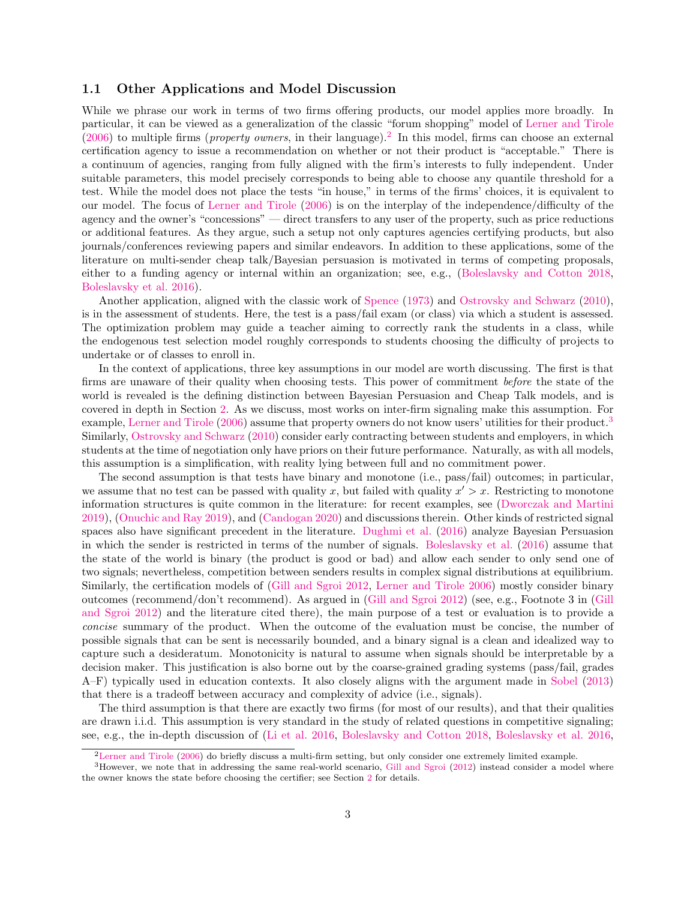### 1.1 Other Applications and Model Discussion

While we phrase our work in terms of two firms offering products, our model applies more broadly. In particular, it can be viewed as a generalization of the classic "forum shopping" model of [Lerner and Tirole](#page-30-1)  $(2006)$  to multiple firms (*property owners*, in their language).<sup>[2](#page-2-0)</sup> In this model, firms can choose an external certification agency to issue a recommendation on whether or not their product is "acceptable." There is a continuum of agencies, ranging from fully aligned with the firm's interests to fully independent. Under suitable parameters, this model precisely corresponds to being able to choose any quantile threshold for a test. While the model does not place the tests "in house," in terms of the firms' choices, it is equivalent to our model. The focus of [Lerner and Tirole](#page-30-1) [\(2006\)](#page-30-1) is on the interplay of the independence/difficulty of the agency and the owner's "concessions" — direct transfers to any user of the property, such as price reductions or additional features. As they argue, such a setup not only captures agencies certifying products, but also journals/conferences reviewing papers and similar endeavors. In addition to these applications, some of the literature on multi-sender cheap talk/Bayesian persuasion is motivated in terms of competing proposals, either to a funding agency or internal within an organization; see, e.g., [\(Boleslavsky and Cotton](#page-29-3) [2018,](#page-29-3) [Boleslavsky et al.](#page-29-2) [2016\)](#page-29-2).

Another application, aligned with the classic work of [Spence](#page-31-0) [\(1973\)](#page-31-0) and [Ostrovsky and Schwarz](#page-30-2) [\(2010\)](#page-30-2), is in the assessment of students. Here, the test is a pass/fail exam (or class) via which a student is assessed. The optimization problem may guide a teacher aiming to correctly rank the students in a class, while the endogenous test selection model roughly corresponds to students choosing the difficulty of projects to undertake or of classes to enroll in.

In the context of applications, three key assumptions in our model are worth discussing. The first is that firms are unaware of their quality when choosing tests. This power of commitment before the state of the world is revealed is the defining distinction between Bayesian Persuasion and Cheap Talk models, and is covered in depth in Section [2.](#page-4-0) As we discuss, most works on inter-firm signaling make this assumption. For example, [Lerner and Tirole](#page-30-1) [\(2006\)](#page-30-1) assume that property owners do not know users' utilities for their product.<sup>[3](#page-2-1)</sup> Similarly, [Ostrovsky and Schwarz](#page-30-2) [\(2010\)](#page-30-2) consider early contracting between students and employers, in which students at the time of negotiation only have priors on their future performance. Naturally, as with all models, this assumption is a simplification, with reality lying between full and no commitment power.

The second assumption is that tests have binary and monotone (i.e., pass/fail) outcomes; in particular, we assume that no test can be passed with quality x, but failed with quality  $x' > x$ . Restricting to monotone information structures is quite common in the literature: for recent examples, see [\(Dworczak and Martini](#page-30-3) [2019\)](#page-30-3), [\(Onuchic and Ray](#page-30-4) [2019\)](#page-30-4), and [\(Candogan](#page-29-4) [2020\)](#page-29-4) and discussions therein. Other kinds of restricted signal spaces also have significant precedent in the literature. [Dughmi et al.](#page-30-5) [\(2016\)](#page-30-5) analyze Bayesian Persuasion in which the sender is restricted in terms of the number of signals. [Boleslavsky et al.](#page-29-2) [\(2016\)](#page-29-2) assume that the state of the world is binary (the product is good or bad) and allow each sender to only send one of two signals; nevertheless, competition between senders results in complex signal distributions at equilibrium. Similarly, the certification models of [\(Gill and Sgroi](#page-30-6) [2012,](#page-30-6) [Lerner and Tirole](#page-30-1) [2006\)](#page-30-1) mostly consider binary outcomes (recommend/don't recommend). As argued in [\(Gill and Sgroi](#page-30-6) [2012\)](#page-30-6) (see, e.g., Footnote 3 in [\(Gill](#page-30-6) [and Sgroi](#page-30-6) [2012\)](#page-30-6) and the literature cited there), the main purpose of a test or evaluation is to provide a concise summary of the product. When the outcome of the evaluation must be concise, the number of possible signals that can be sent is necessarily bounded, and a binary signal is a clean and idealized way to capture such a desideratum. Monotonicity is natural to assume when signals should be interpretable by a decision maker. This justification is also borne out by the coarse-grained grading systems (pass/fail, grades A–F) typically used in education contexts. It also closely aligns with the argument made in [Sobel](#page-31-1) [\(2013\)](#page-31-1) that there is a tradeoff between accuracy and complexity of advice (i.e., signals).

The third assumption is that there are exactly two firms (for most of our results), and that their qualities are drawn i.i.d. This assumption is very standard in the study of related questions in competitive signaling; see, e.g., the in-depth discussion of [\(Li et al.](#page-30-7) [2016,](#page-30-7) [Boleslavsky and Cotton](#page-29-3) [2018,](#page-29-3) [Boleslavsky et al.](#page-29-2) [2016,](#page-29-2)

<span id="page-2-1"></span><span id="page-2-0"></span> ${}^{2}$ [Lerner and Tirole](#page-30-1) [\(2006\)](#page-30-1) do briefly discuss a multi-firm setting, but only consider one extremely limited example.

<sup>3</sup>However, we note that in addressing the same real-world scenario, [Gill and Sgroi](#page-30-6) [\(2012\)](#page-30-6) instead consider a model where the owner knows the state before choosing the certifier; see Section [2](#page-4-0) for details.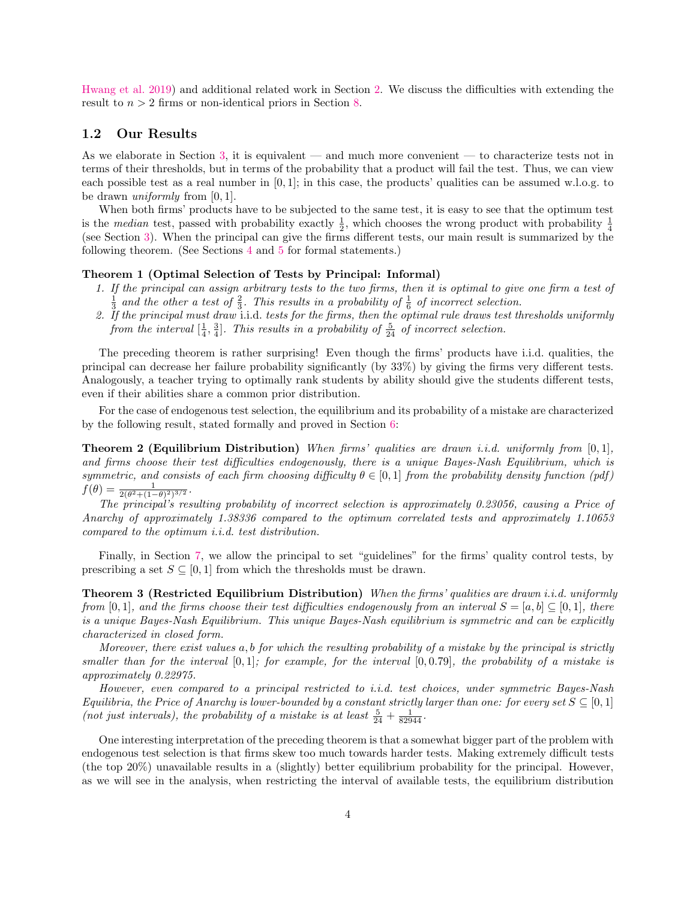[Hwang et al.](#page-30-0) [2019\)](#page-30-0) and additional related work in Section [2.](#page-4-0) We discuss the difficulties with extending the result to  $n > 2$  firms or non-identical priors in Section [8.](#page-27-0)

### 1.2 Our Results

As we elaborate in Section [3,](#page-8-0) it is equivalent — and much more convenient — to characterize tests not in terms of their thresholds, but in terms of the probability that a product will fail the test. Thus, we can view each possible test as a real number in  $[0, 1]$ ; in this case, the products' qualities can be assumed w.l.o.g. to be drawn uniformly from [0, 1].

When both firms' products have to be subjected to the same test, it is easy to see that the optimum test is the *median* test, passed with probability exactly  $\frac{1}{2}$ , which chooses the wrong product with probability  $\frac{1}{4}$ (see Section [3\)](#page-8-0). When the principal can give the firms different tests, our main result is summarized by the following theorem. (See Sections [4](#page-11-0) and [5](#page-14-0) for formal statements.)

#### Theorem 1 (Optimal Selection of Tests by Principal: Informal)

- 1. If the principal can assign arbitrary tests to the two firms, then it is optimal to give one firm a test of  $\frac{1}{3}$  and the other a test of  $\frac{2}{3}$ . This results in a probability of  $\frac{1}{6}$  of incorrect selection.
- 2. If the principal must draw i.i.d. tests for the firms, then the optimal rule draws test thresholds uniformly from the interval  $[\frac{1}{4}, \frac{3}{4}]$ . This results in a probability of  $\frac{5}{24}$  of incorrect selection.

The preceding theorem is rather surprising! Even though the firms' products have i.i.d. qualities, the principal can decrease her failure probability significantly (by 33%) by giving the firms very different tests. Analogously, a teacher trying to optimally rank students by ability should give the students different tests, even if their abilities share a common prior distribution.

For the case of endogenous test selection, the equilibrium and its probability of a mistake are characterized by the following result, stated formally and proved in Section [6:](#page-15-0)

**Theorem 2 (Equilibrium Distribution)** When firms' qualities are drawn i.i.d. uniformly from  $[0, 1]$ , and firms choose their test difficulties endogenously, there is a unique Bayes-Nash Equilibrium, which is symmetric, and consists of each firm choosing difficulty  $\theta \in [0,1]$  from the probability density function (pdf)  $f(\theta) = \frac{1}{2(\theta^2 + (1-\theta)^2)^{3/2}}.$ 

The principal's resulting probability of incorrect selection is approximately 0.23056, causing a Price of Anarchy of approximately 1.38336 compared to the optimum correlated tests and approximately 1.10653 compared to the optimum i.i.d. test distribution.

Finally, in Section [7,](#page-18-0) we allow the principal to set "guidelines" for the firms' quality control tests, by prescribing a set  $S \subseteq [0, 1]$  from which the thresholds must be drawn.

Theorem 3 (Restricted Equilibrium Distribution) When the firms' qualities are drawn i.i.d. uniformly from [0, 1], and the firms choose their test difficulties endogenously from an interval  $S = [a, b] \subseteq [0, 1]$ , there is a unique Bayes-Nash Equilibrium. This unique Bayes-Nash equilibrium is symmetric and can be explicitly characterized in closed form.

Moreover, there exist values a, b for which the resulting probability of a mistake by the principal is strictly smaller than for the interval  $[0,1]$ ; for example, for the interval  $[0,0.79]$ , the probability of a mistake is approximately 0.22975.

However, even compared to a principal restricted to i.i.d. test choices, under symmetric Bayes-Nash Equilibria, the Price of Anarchy is lower-bounded by a constant strictly larger than one: for every set  $S \subseteq [0,1]$ (not just intervals), the probability of a mistake is at least  $\frac{5}{24} + \frac{1}{82944}$ .

One interesting interpretation of the preceding theorem is that a somewhat bigger part of the problem with endogenous test selection is that firms skew too much towards harder tests. Making extremely difficult tests (the top 20%) unavailable results in a (slightly) better equilibrium probability for the principal. However, as we will see in the analysis, when restricting the interval of available tests, the equilibrium distribution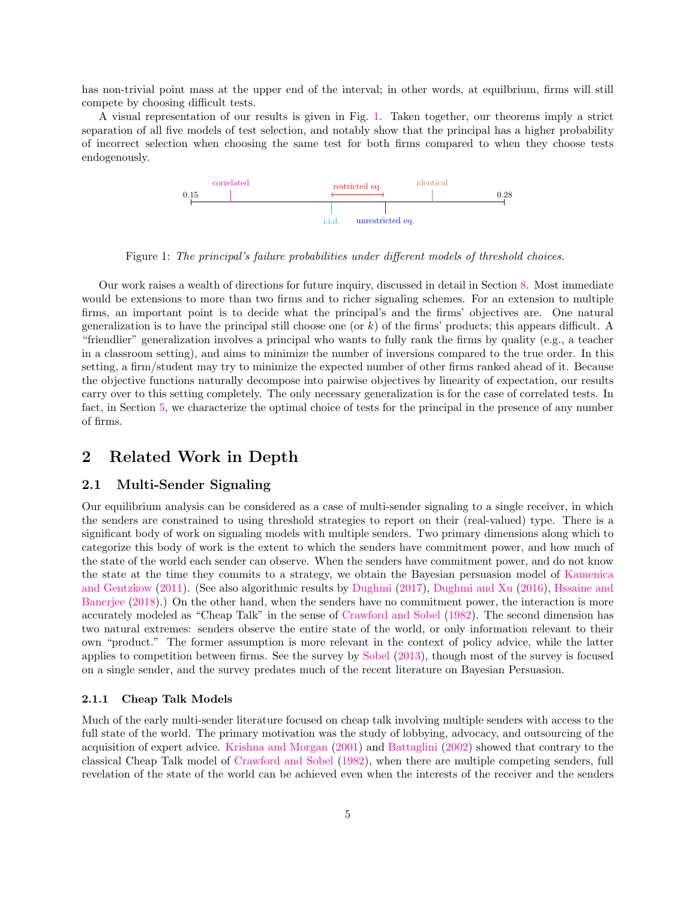has non-trivial point mass at the upper end of the interval; in other words, at equilbrium, firms will still compete by choosing difficult tests.

<span id="page-4-1"></span>A visual representation of our results is given in Fig. [1.](#page-4-1) Taken together, our theorems imply a strict separation of all five models of test selection, and notably show that the principal has a higher probability of incorrect selection when choosing the same test for both firms compared to when they choose tests endogenously.



Figure 1: The principal's failure probabilities under different models of threshold choices.

Our work raises a wealth of directions for future inquiry, discussed in detail in Section [8.](#page-27-0) Most immediate would be extensions to more than two firms and to richer signaling schemes. For an extension to multiple firms, an important point is to decide what the principal's and the firms' objectives are. One natural generalization is to have the principal still choose one (or  $k$ ) of the firms' products; this appears difficult. A "friendlier" generalization involves a principal who wants to fully rank the firms by quality (e.g., a teacher in a classroom setting), and aims to minimize the number of inversions compared to the true order. In this setting, a firm/student may try to minimize the expected number of other firms ranked ahead of it. Because the objective functions naturally decompose into pairwise objectives by linearity of expectation, our results carry over to this setting completely. The only necessary generalization is for the case of correlated tests. In fact, in Section [5,](#page-14-0) we characterize the optimal choice of tests for the principal in the presence of any number of firms.

### <span id="page-4-0"></span>2 Related Work in Depth

#### 2.1 Multi-Sender Signaling

Our equilibrium analysis can be considered as a case of multi-sender signaling to a single receiver, in which the senders are constrained to using threshold strategies to report on their (real-valued) type. There is a significant body of work on signaling models with multiple senders. Two primary dimensions along which to categorize this body of work is the extent to which the senders have commitment power, and how much of the state of the world each sender can observe. When the senders have commitment power, and do not know the state at the time they commits to a strategy, we obtain the Bayesian persuasion model of [Kamenica](#page-30-8) [and Gentzkow](#page-30-8) [\(2011\)](#page-30-8). (See also algorithmic results by [Dughmi](#page-29-5) [\(2017\)](#page-29-5), [Dughmi and Xu](#page-29-6) [\(2016\)](#page-29-6), [Hssaine and](#page-30-9) [Banerjee](#page-30-9) [\(2018\)](#page-30-9).) On the other hand, when the senders have no commitment power, the interaction is more accurately modeled as "Cheap Talk" in the sense of [Crawford and Sobel](#page-29-7) [\(1982\)](#page-29-7). The second dimension has two natural extremes: senders observe the entire state of the world, or only information relevant to their own "product." The former assumption is more relevant in the context of policy advice, while the latter applies to competition between firms. See the survey by [Sobel](#page-31-1) [\(2013\)](#page-31-1), though most of the survey is focused on a single sender, and the survey predates much of the recent literature on Bayesian Persuasion.

#### 2.1.1 Cheap Talk Models

Much of the early multi-sender literature focused on cheap talk involving multiple senders with access to the full state of the world. The primary motivation was the study of lobbying, advocacy, and outsourcing of the acquisition of expert advice. [Krishna and Morgan](#page-30-10) [\(2001\)](#page-30-10) and [Battaglini](#page-29-8) [\(2002\)](#page-29-8) showed that contrary to the classical Cheap Talk model of [Crawford and Sobel](#page-29-7) [\(1982\)](#page-29-7), when there are multiple competing senders, full revelation of the state of the world can be achieved even when the interests of the receiver and the senders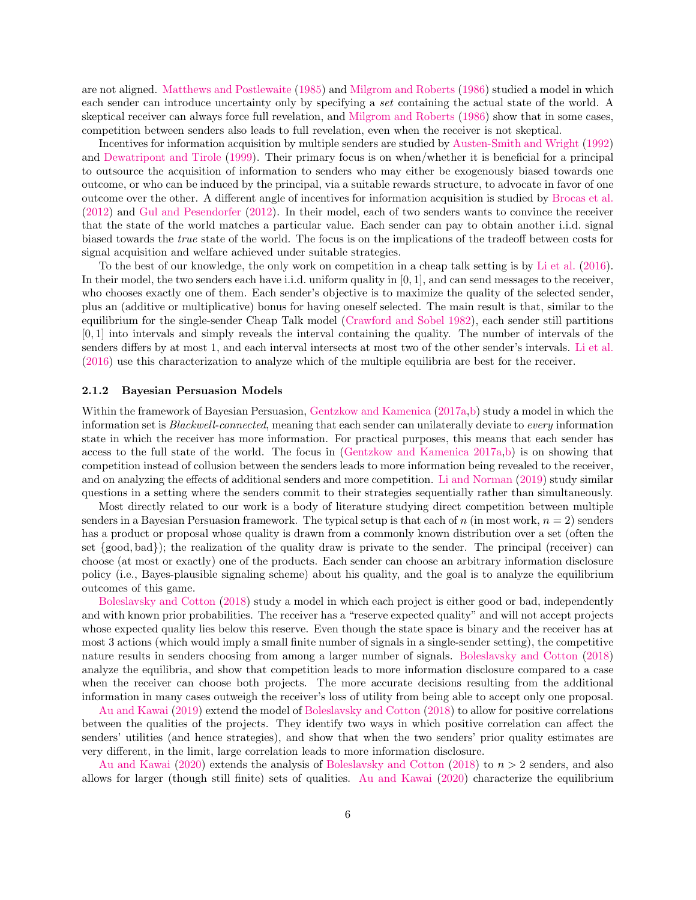are not aligned. [Matthews and Postlewaite](#page-30-11) [\(1985\)](#page-30-11) and [Milgrom and Roberts](#page-30-12) [\(1986\)](#page-30-12) studied a model in which each sender can introduce uncertainty only by specifying a set containing the actual state of the world. A skeptical receiver can always force full revelation, and [Milgrom and Roberts](#page-30-12) [\(1986\)](#page-30-12) show that in some cases, competition between senders also leads to full revelation, even when the receiver is not skeptical.

Incentives for information acquisition by multiple senders are studied by [Austen-Smith and Wright](#page-29-9) [\(1992\)](#page-29-9) and [Dewatripont and Tirole](#page-29-10) [\(1999\)](#page-29-10). Their primary focus is on when/whether it is beneficial for a principal to outsource the acquisition of information to senders who may either be exogenously biased towards one outcome, or who can be induced by the principal, via a suitable rewards structure, to advocate in favor of one outcome over the other. A different angle of incentives for information acquisition is studied by [Brocas et al.](#page-29-11) [\(2012\)](#page-29-11) and [Gul and Pesendorfer](#page-30-13) [\(2012\)](#page-30-13). In their model, each of two senders wants to convince the receiver that the state of the world matches a particular value. Each sender can pay to obtain another i.i.d. signal biased towards the true state of the world. The focus is on the implications of the tradeoff between costs for signal acquisition and welfare achieved under suitable strategies.

To the best of our knowledge, the only work on competition in a cheap talk setting is by [Li et al.](#page-30-7) [\(2016\)](#page-30-7). In their model, the two senders each have i.i.d. uniform quality in [0, 1], and can send messages to the receiver, who chooses exactly one of them. Each sender's objective is to maximize the quality of the selected sender, plus an (additive or multiplicative) bonus for having oneself selected. The main result is that, similar to the equilibrium for the single-sender Cheap Talk model [\(Crawford and Sobel](#page-29-7) [1982\)](#page-29-7), each sender still partitions [0, 1] into intervals and simply reveals the interval containing the quality. The number of intervals of the senders differs by at most 1, and each interval intersects at most two of the other sender's intervals. [Li et al.](#page-30-7) [\(2016\)](#page-30-7) use this characterization to analyze which of the multiple equilibria are best for the receiver.

#### 2.1.2 Bayesian Persuasion Models

Within the framework of Bayesian Persuasion, [Gentzkow and Kamenica](#page-30-14) [\(2017a,](#page-30-14)[b\)](#page-30-15) study a model in which the information set is Blackwell-connected, meaning that each sender can unilaterally deviate to every information state in which the receiver has more information. For practical purposes, this means that each sender has access to the full state of the world. The focus in [\(Gentzkow and Kamenica](#page-30-14) [2017a,](#page-30-14)[b\)](#page-30-15) is on showing that competition instead of collusion between the senders leads to more information being revealed to the receiver, and on analyzing the effects of additional senders and more competition. [Li and Norman](#page-30-16) [\(2019\)](#page-30-16) study similar questions in a setting where the senders commit to their strategies sequentially rather than simultaneously.

Most directly related to our work is a body of literature studying direct competition between multiple senders in a Bayesian Persuasion framework. The typical setup is that each of n (in most work,  $n = 2$ ) senders has a product or proposal whose quality is drawn from a commonly known distribution over a set (often the set {good, bad}); the realization of the quality draw is private to the sender. The principal (receiver) can choose (at most or exactly) one of the products. Each sender can choose an arbitrary information disclosure policy (i.e., Bayes-plausible signaling scheme) about his quality, and the goal is to analyze the equilibrium outcomes of this game.

[Boleslavsky and Cotton](#page-29-3) [\(2018\)](#page-29-3) study a model in which each project is either good or bad, independently and with known prior probabilities. The receiver has a "reserve expected quality" and will not accept projects whose expected quality lies below this reserve. Even though the state space is binary and the receiver has at most 3 actions (which would imply a small finite number of signals in a single-sender setting), the competitive nature results in senders choosing from among a larger number of signals. [Boleslavsky and Cotton](#page-29-3) [\(2018\)](#page-29-3) analyze the equilibria, and show that competition leads to more information disclosure compared to a case when the receiver can choose both projects. The more accurate decisions resulting from the additional information in many cases outweigh the receiver's loss of utility from being able to accept only one proposal.

[Au and Kawai](#page-29-0) [\(2019\)](#page-29-0) extend the model of [Boleslavsky and Cotton](#page-29-3) [\(2018\)](#page-29-3) to allow for positive correlations between the qualities of the projects. They identify two ways in which positive correlation can affect the senders' utilities (and hence strategies), and show that when the two senders' prior quality estimates are very different, in the limit, large correlation leads to more information disclosure.

[Au and Kawai](#page-29-1) [\(2020\)](#page-29-1) extends the analysis of [Boleslavsky and Cotton](#page-29-3) [\(2018\)](#page-29-3) to  $n > 2$  senders, and also allows for larger (though still finite) sets of qualities. [Au and Kawai](#page-29-1) [\(2020\)](#page-29-1) characterize the equilibrium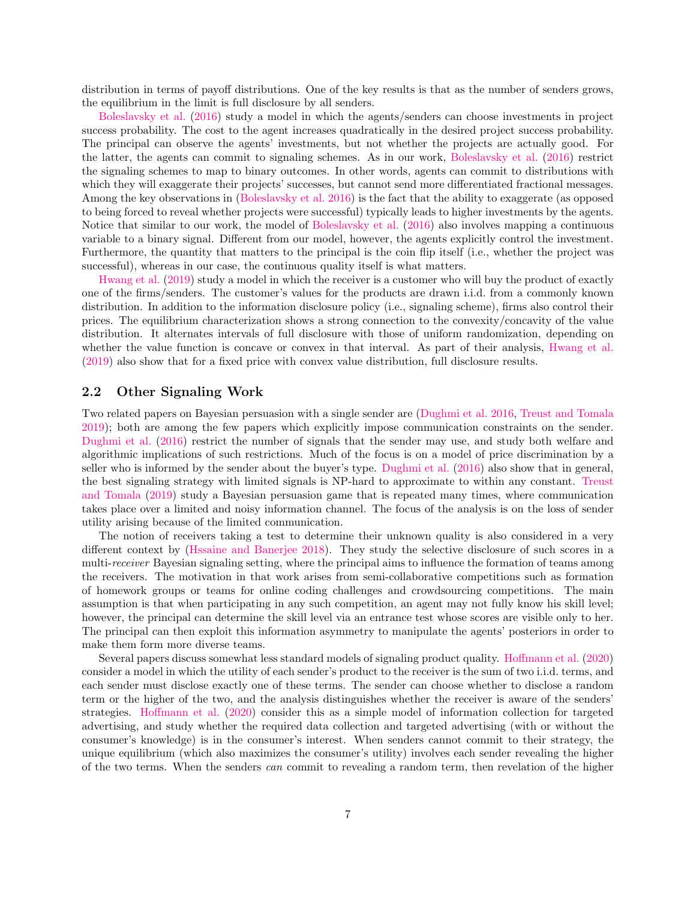distribution in terms of payoff distributions. One of the key results is that as the number of senders grows, the equilibrium in the limit is full disclosure by all senders.

[Boleslavsky et al.](#page-29-2) [\(2016\)](#page-29-2) study a model in which the agents/senders can choose investments in project success probability. The cost to the agent increases quadratically in the desired project success probability. The principal can observe the agents' investments, but not whether the projects are actually good. For the latter, the agents can commit to signaling schemes. As in our work, [Boleslavsky et al.](#page-29-2) [\(2016\)](#page-29-2) restrict the signaling schemes to map to binary outcomes. In other words, agents can commit to distributions with which they will exaggerate their projects' successes, but cannot send more differentiated fractional messages. Among the key observations in [\(Boleslavsky et al.](#page-29-2) [2016\)](#page-29-2) is the fact that the ability to exaggerate (as opposed to being forced to reveal whether projects were successful) typically leads to higher investments by the agents. Notice that similar to our work, the model of [Boleslavsky et al.](#page-29-2) [\(2016\)](#page-29-2) also involves mapping a continuous variable to a binary signal. Different from our model, however, the agents explicitly control the investment. Furthermore, the quantity that matters to the principal is the coin flip itself (i.e., whether the project was successful), whereas in our case, the continuous quality itself is what matters.

[Hwang et al.](#page-30-0) [\(2019\)](#page-30-0) study a model in which the receiver is a customer who will buy the product of exactly one of the firms/senders. The customer's values for the products are drawn i.i.d. from a commonly known distribution. In addition to the information disclosure policy (i.e., signaling scheme), firms also control their prices. The equilibrium characterization shows a strong connection to the convexity/concavity of the value distribution. It alternates intervals of full disclosure with those of uniform randomization, depending on whether the value function is concave or convex in that interval. As part of their analysis, [Hwang et al.](#page-30-0) [\(2019\)](#page-30-0) also show that for a fixed price with convex value distribution, full disclosure results.

### 2.2 Other Signaling Work

Two related papers on Bayesian persuasion with a single sender are [\(Dughmi et al.](#page-30-5) [2016,](#page-30-5) [Treust and Tomala](#page-31-2) [2019\)](#page-31-2); both are among the few papers which explicitly impose communication constraints on the sender. [Dughmi et al.](#page-30-5) [\(2016\)](#page-30-5) restrict the number of signals that the sender may use, and study both welfare and algorithmic implications of such restrictions. Much of the focus is on a model of price discrimination by a seller who is informed by the sender about the buyer's type. [Dughmi et al.](#page-30-5) [\(2016\)](#page-30-5) also show that in general, the best signaling strategy with limited signals is NP-hard to approximate to within any constant. [Treust](#page-31-2) [and Tomala](#page-31-2) [\(2019\)](#page-31-2) study a Bayesian persuasion game that is repeated many times, where communication takes place over a limited and noisy information channel. The focus of the analysis is on the loss of sender utility arising because of the limited communication.

The notion of receivers taking a test to determine their unknown quality is also considered in a very different context by [\(Hssaine and Banerjee](#page-30-9) [2018\)](#page-30-9). They study the selective disclosure of such scores in a multi-receiver Bayesian signaling setting, where the principal aims to influence the formation of teams among the receivers. The motivation in that work arises from semi-collaborative competitions such as formation of homework groups or teams for online coding challenges and crowdsourcing competitions. The main assumption is that when participating in any such competition, an agent may not fully know his skill level; however, the principal can determine the skill level via an entrance test whose scores are visible only to her. The principal can then exploit this information asymmetry to manipulate the agents' posteriors in order to make them form more diverse teams.

Several papers discuss somewhat less standard models of signaling product quality. [Hoffmann et al.](#page-30-17) [\(2020\)](#page-30-17) consider a model in which the utility of each sender's product to the receiver is the sum of two i.i.d. terms, and each sender must disclose exactly one of these terms. The sender can choose whether to disclose a random term or the higher of the two, and the analysis distinguishes whether the receiver is aware of the senders' strategies. [Hoffmann et al.](#page-30-17) [\(2020\)](#page-30-17) consider this as a simple model of information collection for targeted advertising, and study whether the required data collection and targeted advertising (with or without the consumer's knowledge) is in the consumer's interest. When senders cannot commit to their strategy, the unique equilibrium (which also maximizes the consumer's utility) involves each sender revealing the higher of the two terms. When the senders can commit to revealing a random term, then revelation of the higher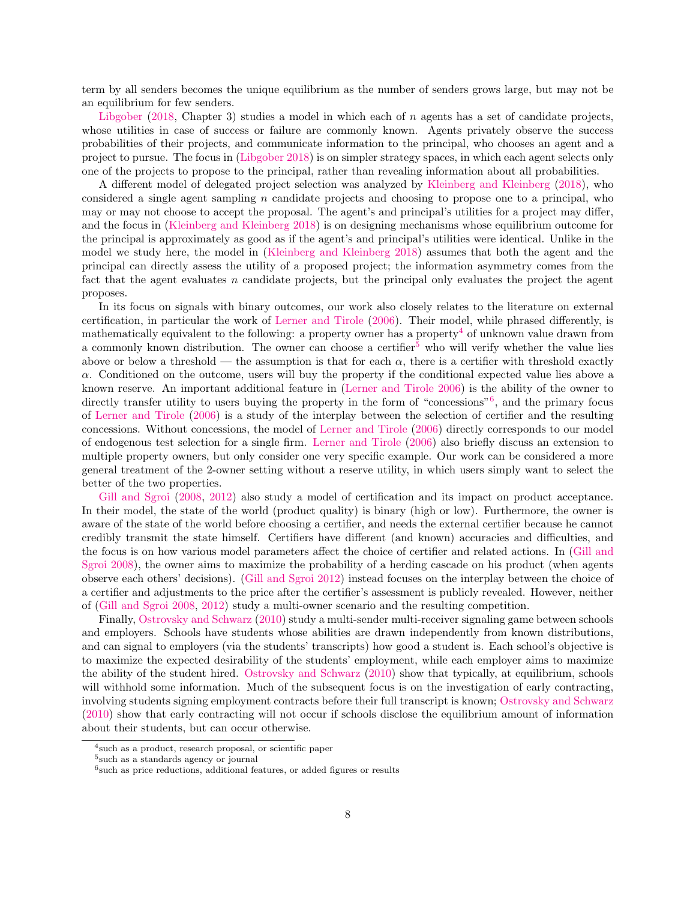term by all senders becomes the unique equilibrium as the number of senders grows large, but may not be an equilibrium for few senders.

[Libgober](#page-30-18) [\(2018,](#page-30-18) Chapter 3) studies a model in which each of n agents has a set of candidate projects, whose utilities in case of success or failure are commonly known. Agents privately observe the success probabilities of their projects, and communicate information to the principal, who chooses an agent and a project to pursue. The focus in [\(Libgober](#page-30-18) [2018\)](#page-30-18) is on simpler strategy spaces, in which each agent selects only one of the projects to propose to the principal, rather than revealing information about all probabilities.

A different model of delegated project selection was analyzed by [Kleinberg and Kleinberg](#page-30-19) [\(2018\)](#page-30-19), who considered a single agent sampling n candidate projects and choosing to propose one to a principal, who may or may not choose to accept the proposal. The agent's and principal's utilities for a project may differ, and the focus in [\(Kleinberg and Kleinberg](#page-30-19) [2018\)](#page-30-19) is on designing mechanisms whose equilibrium outcome for the principal is approximately as good as if the agent's and principal's utilities were identical. Unlike in the model we study here, the model in [\(Kleinberg and Kleinberg](#page-30-19) [2018\)](#page-30-19) assumes that both the agent and the principal can directly assess the utility of a proposed project; the information asymmetry comes from the fact that the agent evaluates  $n$  candidate projects, but the principal only evaluates the project the agent proposes.

In its focus on signals with binary outcomes, our work also closely relates to the literature on external certification, in particular the work of [Lerner and Tirole](#page-30-1) [\(2006\)](#page-30-1). Their model, while phrased differently, is mathematically equivalent to the following: a property owner has a property<sup>[4](#page-7-0)</sup> of unknown value drawn from a commonly known distribution. The owner can choose a certifier<sup>[5](#page-7-1)</sup> who will verify whether the value lies above or below a threshold — the assumption is that for each  $\alpha$ , there is a certifier with threshold exactly  $\alpha$ . Conditioned on the outcome, users will buy the property if the conditional expected value lies above a known reserve. An important additional feature in [\(Lerner and Tirole](#page-30-1) [2006\)](#page-30-1) is the ability of the owner to directly transfer utility to users buying the property in the form of "concessions"<sup>[6](#page-7-2)</sup>, and the primary focus of [Lerner and Tirole](#page-30-1) [\(2006\)](#page-30-1) is a study of the interplay between the selection of certifier and the resulting concessions. Without concessions, the model of [Lerner and Tirole](#page-30-1) [\(2006\)](#page-30-1) directly corresponds to our model of endogenous test selection for a single firm. [Lerner and Tirole](#page-30-1) [\(2006\)](#page-30-1) also briefly discuss an extension to multiple property owners, but only consider one very specific example. Our work can be considered a more general treatment of the 2-owner setting without a reserve utility, in which users simply want to select the better of the two properties.

[Gill and Sgroi](#page-30-20) [\(2008,](#page-30-20) [2012\)](#page-30-6) also study a model of certification and its impact on product acceptance. In their model, the state of the world (product quality) is binary (high or low). Furthermore, the owner is aware of the state of the world before choosing a certifier, and needs the external certifier because he cannot credibly transmit the state himself. Certifiers have different (and known) accuracies and difficulties, and the focus is on how various model parameters affect the choice of certifier and related actions. In [\(Gill and](#page-30-20) [Sgroi](#page-30-20) [2008\)](#page-30-20), the owner aims to maximize the probability of a herding cascade on his product (when agents observe each others' decisions). [\(Gill and Sgroi](#page-30-6) [2012\)](#page-30-6) instead focuses on the interplay between the choice of a certifier and adjustments to the price after the certifier's assessment is publicly revealed. However, neither of [\(Gill and Sgroi](#page-30-20) [2008,](#page-30-20) [2012\)](#page-30-6) study a multi-owner scenario and the resulting competition.

Finally, [Ostrovsky and Schwarz](#page-30-2) [\(2010\)](#page-30-2) study a multi-sender multi-receiver signaling game between schools and employers. Schools have students whose abilities are drawn independently from known distributions, and can signal to employers (via the students' transcripts) how good a student is. Each school's objective is to maximize the expected desirability of the students' employment, while each employer aims to maximize the ability of the student hired. [Ostrovsky and Schwarz](#page-30-2) [\(2010\)](#page-30-2) show that typically, at equilibrium, schools will withhold some information. Much of the subsequent focus is on the investigation of early contracting, involving students signing employment contracts before their full transcript is known; [Ostrovsky and Schwarz](#page-30-2) [\(2010\)](#page-30-2) show that early contracting will not occur if schools disclose the equilibrium amount of information about their students, but can occur otherwise.

<span id="page-7-0"></span><sup>4</sup> such as a product, research proposal, or scientific paper

<span id="page-7-1"></span><sup>5</sup> such as a standards agency or journal

<span id="page-7-2"></span><sup>6</sup> such as price reductions, additional features, or added figures or results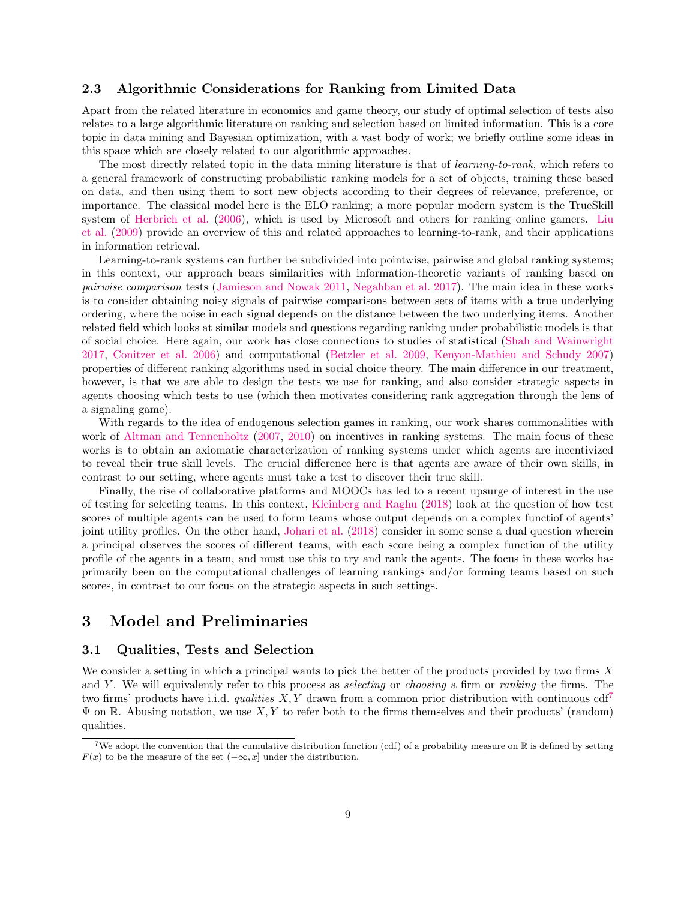### 2.3 Algorithmic Considerations for Ranking from Limited Data

Apart from the related literature in economics and game theory, our study of optimal selection of tests also relates to a large algorithmic literature on ranking and selection based on limited information. This is a core topic in data mining and Bayesian optimization, with a vast body of work; we briefly outline some ideas in this space which are closely related to our algorithmic approaches.

The most directly related topic in the data mining literature is that of *learning-to-rank*, which refers to a general framework of constructing probabilistic ranking models for a set of objects, training these based on data, and then using them to sort new objects according to their degrees of relevance, preference, or importance. The classical model here is the ELO ranking; a more popular modern system is the TrueSkill system of [Herbrich et al.](#page-30-21) [\(2006\)](#page-30-21), which is used by Microsoft and others for ranking online gamers. [Liu](#page-30-22) [et al.](#page-30-22) [\(2009\)](#page-30-22) provide an overview of this and related approaches to learning-to-rank, and their applications in information retrieval.

Learning-to-rank systems can further be subdivided into pointwise, pairwise and global ranking systems; in this context, our approach bears similarities with information-theoretic variants of ranking based on pairwise comparison tests [\(Jamieson and Nowak](#page-30-23) [2011,](#page-30-23) [Negahban et al.](#page-30-24) [2017\)](#page-30-24). The main idea in these works is to consider obtaining noisy signals of pairwise comparisons between sets of items with a true underlying ordering, where the noise in each signal depends on the distance between the two underlying items. Another related field which looks at similar models and questions regarding ranking under probabilistic models is that of social choice. Here again, our work has close connections to studies of statistical [\(Shah and Wainwright](#page-31-3) [2017,](#page-31-3) [Conitzer et al.](#page-29-12) [2006\)](#page-29-12) and computational [\(Betzler et al.](#page-29-13) [2009,](#page-29-13) [Kenyon-Mathieu and Schudy](#page-30-25) [2007\)](#page-30-25) properties of different ranking algorithms used in social choice theory. The main difference in our treatment, however, is that we are able to design the tests we use for ranking, and also consider strategic aspects in agents choosing which tests to use (which then motivates considering rank aggregation through the lens of a signaling game).

With regards to the idea of endogenous selection games in ranking, our work shares commonalities with work of [Altman and Tennenholtz](#page-29-14) [\(2007,](#page-29-14) [2010\)](#page-29-15) on incentives in ranking systems. The main focus of these works is to obtain an axiomatic characterization of ranking systems under which agents are incentivized to reveal their true skill levels. The crucial difference here is that agents are aware of their own skills, in contrast to our setting, where agents must take a test to discover their true skill.

Finally, the rise of collaborative platforms and MOOCs has led to a recent upsurge of interest in the use of testing for selecting teams. In this context, [Kleinberg and Raghu](#page-30-26) [\(2018\)](#page-30-26) look at the question of how test scores of multiple agents can be used to form teams whose output depends on a complex functiof of agents' joint utility profiles. On the other hand, [Johari et al.](#page-30-27) [\(2018\)](#page-30-27) consider in some sense a dual question wherein a principal observes the scores of different teams, with each score being a complex function of the utility profile of the agents in a team, and must use this to try and rank the agents. The focus in these works has primarily been on the computational challenges of learning rankings and/or forming teams based on such scores, in contrast to our focus on the strategic aspects in such settings.

## <span id="page-8-0"></span>3 Model and Preliminaries

### 3.1 Qualities, Tests and Selection

We consider a setting in which a principal wants to pick the better of the products provided by two firms X and Y. We will equivalently refer to this process as *selecting* or *choosing* a firm or *ranking* the firms. The two firms' products have i.i.d. qualities X, Y drawn from a common prior distribution with continuous  $\text{cdf}^7$  $\text{cdf}^7$  $\Psi$  on R. Abusing notation, we use X, Y to refer both to the firms themselves and their products' (random) qualities.

<span id="page-8-1"></span><sup>&</sup>lt;sup>7</sup>We adopt the convention that the cumulative distribution function (cdf) of a probability measure on  $\mathbb R$  is defined by setting  $F(x)$  to be the measure of the set  $(-\infty, x]$  under the distribution.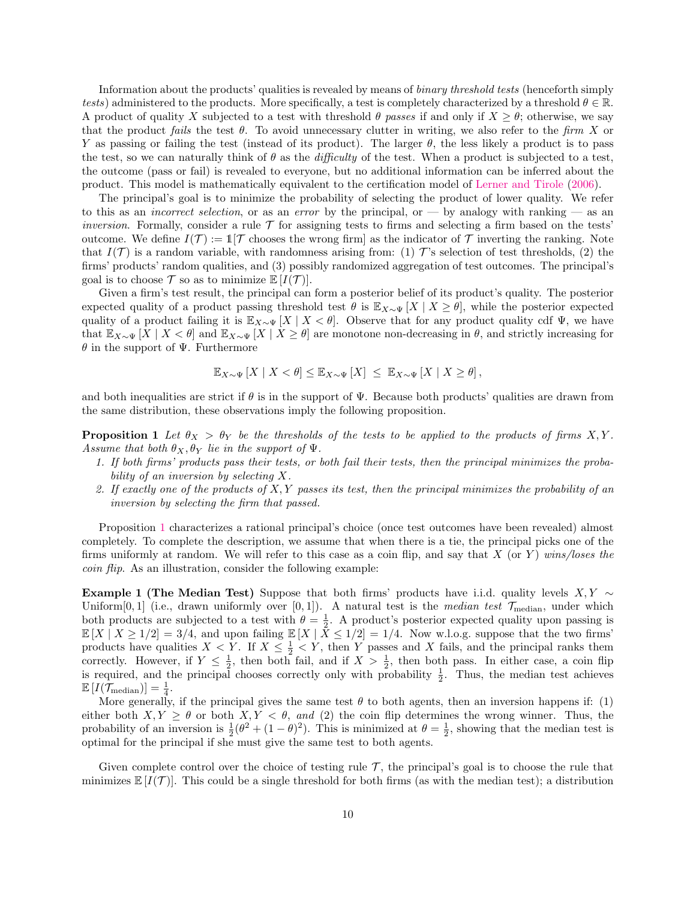Information about the products' qualities is revealed by means of *binary threshold tests* (henceforth simply tests) administered to the products. More specifically, a test is completely characterized by a threshold  $\theta \in \mathbb{R}$ . A product of quality X subjected to a test with threshold  $\theta$  passes if and only if  $X > \theta$ ; otherwise, we say that the product fails the test  $\theta$ . To avoid unnecessary clutter in writing, we also refer to the firm X or Y as passing or failing the test (instead of its product). The larger  $\theta$ , the less likely a product is to pass the test, so we can naturally think of  $\theta$  as the *difficulty* of the test. When a product is subjected to a test, the outcome (pass or fail) is revealed to everyone, but no additional information can be inferred about the product. This model is mathematically equivalent to the certification model of [Lerner and Tirole](#page-30-1) [\(2006\)](#page-30-1).

The principal's goal is to minimize the probability of selecting the product of lower quality. We refer to this as an *incorrect selection*, or as an *error* by the principal, or — by analogy with ranking — as an inversion. Formally, consider a rule  $\mathcal T$  for assigning tests to firms and selecting a firm based on the tests' outcome. We define  $I(\mathcal{T}) := \mathbb{1}[\mathcal{T}]$  chooses the wrong firm as the indicator of  $\mathcal{T}$  inverting the ranking. Note that  $I(\mathcal{T})$  is a random variable, with randomness arising from: (1)  $\mathcal{T}$ 's selection of test thresholds, (2) the firms' products' random qualities, and (3) possibly randomized aggregation of test outcomes. The principal's goal is to choose  $\mathcal T$  so as to minimize  $\mathbb E[I(\mathcal T)].$ 

Given a firm's test result, the principal can form a posterior belief of its product's quality. The posterior expected quality of a product passing threshold test  $\theta$  is  $\mathbb{E}_{X\sim\Psi}[X \mid X \geq \theta]$ , while the posterior expected quality of a product failing it is  $\mathbb{E}_{X\sim\Psi}[X \mid X \leq \theta]$ . Observe that for any product quality cdf  $\Psi$ , we have that  $\mathbb{E}_{X\sim\Psi}[X \mid X < \theta]$  and  $\mathbb{E}_{X\sim\Psi}[X \mid X \geq \theta]$  are monotone non-decreasing in  $\theta$ , and strictly increasing for  $\theta$  in the support of  $\Psi$ . Furthermore

$$
\mathbb{E}_{X \sim \Psi}[X \mid X < \theta] \leq \mathbb{E}_{X \sim \Psi}[X] \leq \mathbb{E}_{X \sim \Psi}[X \mid X \geq \theta],
$$

and both inequalities are strict if  $\theta$  is in the support of  $\Psi$ . Because both products' qualities are drawn from the same distribution, these observations imply the following proposition.

<span id="page-9-0"></span>**Proposition 1** Let  $\theta_X > \theta_Y$  be the thresholds of the tests to be applied to the products of firms X,Y. Assume that both  $\theta_X, \theta_Y$  lie in the support of  $\Psi$ .

- 1. If both firms' products pass their tests, or both fail their tests, then the principal minimizes the probability of an inversion by selecting X.
- 2. If exactly one of the products of X, Y passes its test, then the principal minimizes the probability of an inversion by selecting the firm that passed.

Proposition [1](#page-9-0) characterizes a rational principal's choice (once test outcomes have been revealed) almost completely. To complete the description, we assume that when there is a tie, the principal picks one of the firms uniformly at random. We will refer to this case as a coin flip, and say that X (or Y) wins/loses the coin flip. As an illustration, consider the following example:

Example 1 (The Median Test) Suppose that both firms' products have i.i.d. quality levels  $X, Y \sim$ Uniform[0, 1] (i.e., drawn uniformly over [0, 1]). A natural test is the median test  $\mathcal{T}_{\text{median}}$ , under which both products are subjected to a test with  $\theta = \frac{1}{2}$ . A product's posterior expected quality upon passing is  $\mathbb{E}[X \mid X \geq 1/2] = 3/4$ , and upon failing  $\mathbb{E}[X \mid X \leq 1/2] = 1/4$ . Now w.l.o.g. suppose that the two firms products have qualities  $X < Y$ . If  $X \leq \frac{1}{2} < Y$ , then Y passes and X fails, and the principal ranks them correctly. However, if  $Y \leq \frac{1}{2}$ , then both fail, and if  $X > \frac{1}{2}$ , then both pass. In either case, a coin flip is required, and the principal chooses correctly only with probability  $\frac{1}{2}$ . Thus, the median test achieves  $\mathbb{E}\left[I(\mathcal{T}_{\text{median}})\right] = \frac{1}{4}.$ 

More generally, if the principal gives the same test  $\theta$  to both agents, then an inversion happens if: (1) either both  $X, Y \ge \theta$  or both  $X, Y < \theta$ , and (2) the coin flip determines the wrong winner. Thus, the probability of an inversion is  $\frac{1}{2}(\theta^2 + (1 - \theta)^2)$ . This is minimized at  $\theta = \frac{1}{2}$ , showing that the median test is optimal for the principal if she must give the same test to both agents.

Given complete control over the choice of testing rule  $\mathcal{T}$ , the principal's goal is to choose the rule that minimizes  $\mathbb{E}[I(\mathcal{T})]$ . This could be a single threshold for both firms (as with the median test); a distribution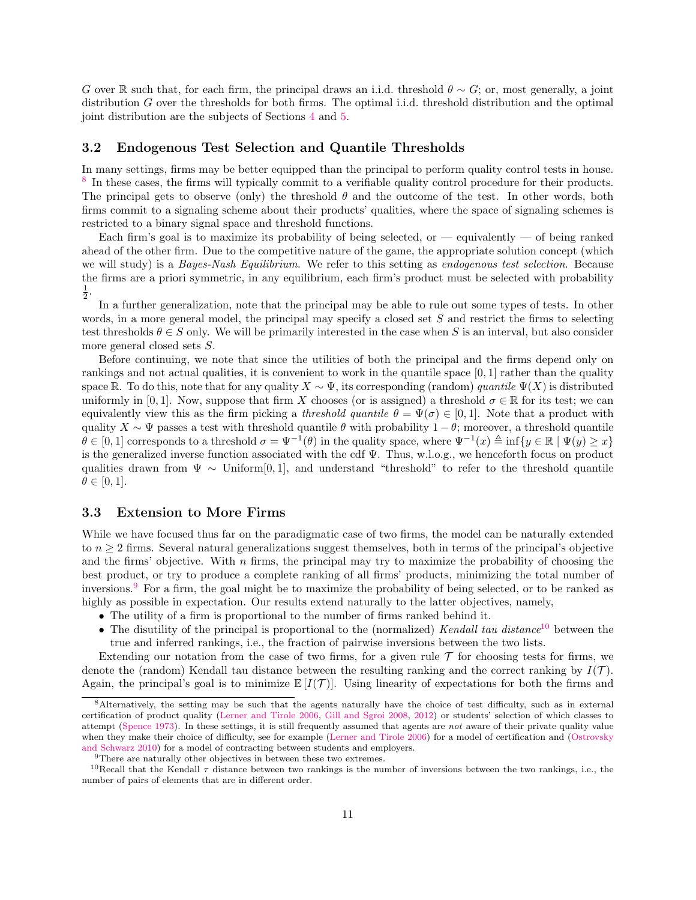G over R such that, for each firm, the principal draws an i.i.d. threshold  $\theta \sim G$ ; or, most generally, a joint distribution G over the thresholds for both firms. The optimal i.i.d. threshold distribution and the optimal joint distribution are the subjects of Sections [4](#page-11-0) and [5.](#page-14-0)

#### <span id="page-10-3"></span>3.2 Endogenous Test Selection and Quantile Thresholds

In many settings, firms may be better equipped than the principal to perform quality control tests in house. <sup>[8](#page-10-0)</sup> In these cases, the firms will typically commit to a verifiable quality control procedure for their products. The principal gets to observe (only) the threshold  $\theta$  and the outcome of the test. In other words, both firms commit to a signaling scheme about their products' qualities, where the space of signaling schemes is restricted to a binary signal space and threshold functions.

Each firm's goal is to maximize its probability of being selected, or — equivalently — of being ranked ahead of the other firm. Due to the competitive nature of the game, the appropriate solution concept (which we will study) is a Bayes-Nash Equilibrium. We refer to this setting as endogenous test selection. Because the firms are a priori symmetric, in any equilibrium, each firm's product must be selected with probability  $\frac{1}{2}$ .

In a further generalization, note that the principal may be able to rule out some types of tests. In other words, in a more general model, the principal may specify a closed set S and restrict the firms to selecting test thresholds  $\theta \in S$  only. We will be primarily interested in the case when S is an interval, but also consider more general closed sets S.

Before continuing, we note that since the utilities of both the principal and the firms depend only on rankings and not actual qualities, it is convenient to work in the quantile space  $[0, 1]$  rather than the quality space R. To do this, note that for any quality  $X \sim \Psi$ , its corresponding (random) quantile  $\Psi(X)$  is distributed uniformly in [0, 1]. Now, suppose that firm X chooses (or is assigned) a threshold  $\sigma \in \mathbb{R}$  for its test; we can equivalently view this as the firm picking a threshold quantile  $\theta = \Psi(\sigma) \in [0, 1]$ . Note that a product with quality  $X \sim \Psi$  passes a test with threshold quantile  $\theta$  with probability 1 –  $\theta$ ; moreover, a threshold quantile  $\theta \in [0,1]$  corresponds to a threshold  $\sigma = \Psi^{-1}(\theta)$  in the quality space, where  $\Psi^{-1}(x) \triangleq \inf \{y \in \mathbb{R} \mid \Psi(y) \geq x\}$ is the generalized inverse function associated with the cdf Ψ. Thus, w.l.o.g., we henceforth focus on product qualities drawn from  $\Psi \sim$  Uniform[0,1], and understand "threshold" to refer to the threshold quantile  $\theta \in [0,1].$ 

### <span id="page-10-4"></span>3.3 Extension to More Firms

While we have focused thus far on the paradigmatic case of two firms, the model can be naturally extended to  $n \geq 2$  firms. Several natural generalizations suggest themselves, both in terms of the principal's objective and the firms' objective. With  $n$  firms, the principal may try to maximize the probability of choosing the best product, or try to produce a complete ranking of all firms' products, minimizing the total number of inversions.<sup>[9](#page-10-1)</sup> For a firm, the goal might be to maximize the probability of being selected, or to be ranked as highly as possible in expectation. Our results extend naturally to the latter objectives, namely,

- The utility of a firm is proportional to the number of firms ranked behind it.
- The disutility of the principal is proportional to the (normalized) Kendall tau distance<sup>[10](#page-10-2)</sup> between the true and inferred rankings, i.e., the fraction of pairwise inversions between the two lists.

Extending our notation from the case of two firms, for a given rule  $\mathcal T$  for choosing tests for firms, we denote the (random) Kendall tau distance between the resulting ranking and the correct ranking by  $I(\mathcal{T})$ . Again, the principal's goal is to minimize  $\mathbb{E}[I(\mathcal{T})]$ . Using linearity of expectations for both the firms and

<span id="page-10-0"></span><sup>8</sup>Alternatively, the setting may be such that the agents naturally have the choice of test difficulty, such as in external certification of product quality [\(Lerner and Tirole](#page-30-1) [2006,](#page-30-1) [Gill and Sgroi](#page-30-20) [2008,](#page-30-20) [2012\)](#page-30-6) or students' selection of which classes to attempt [\(Spence](#page-31-0) [1973\)](#page-31-0). In these settings, it is still frequently assumed that agents are not aware of their private quality value when they make their choice of difficulty, see for example [\(Lerner and Tirole](#page-30-1) [2006\)](#page-30-1) for a model of certification and [\(Ostrovsky](#page-30-2) [and Schwarz](#page-30-2) [2010\)](#page-30-2) for a model of contracting between students and employers.

<span id="page-10-2"></span><span id="page-10-1"></span><sup>&</sup>lt;sup>9</sup>There are naturally other objectives in between these two extremes.

<sup>&</sup>lt;sup>10</sup>Recall that the Kendall  $\tau$  distance between two rankings is the number of inversions between the two rankings, i.e., the number of pairs of elements that are in different order.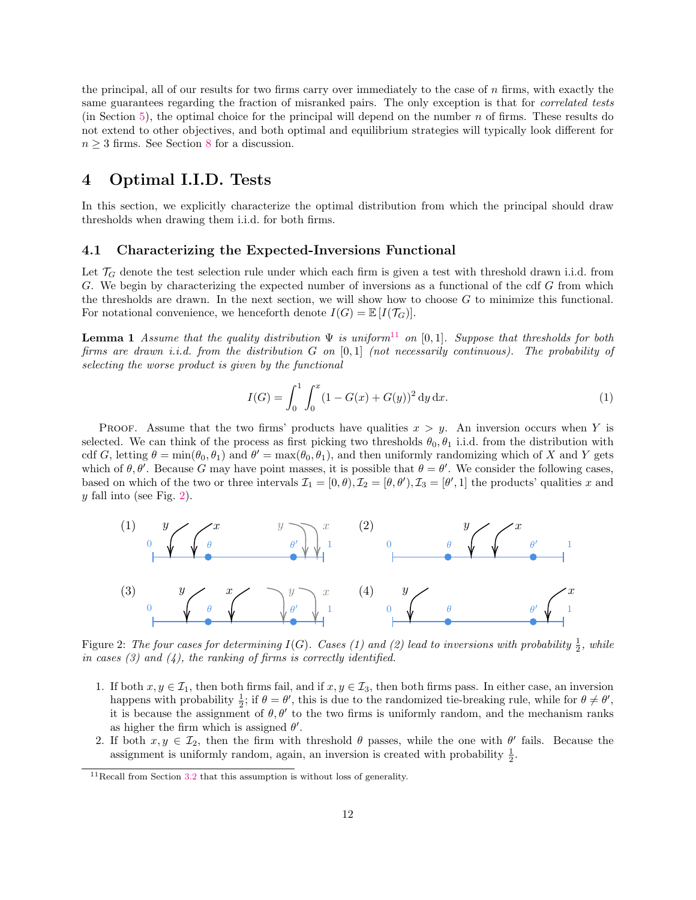the principal, all of our results for two firms carry over immediately to the case of n firms, with exactly the same guarantees regarding the fraction of misranked pairs. The only exception is that for *correlated tests* (in Section [5\)](#page-14-0), the optimal choice for the principal will depend on the number  $n$  of firms. These results do not extend to other objectives, and both optimal and equilibrium strategies will typically look different for  $n \geq 3$  firms. See Section [8](#page-27-0) for a discussion.

## <span id="page-11-0"></span>4 Optimal I.I.D. Tests

In this section, we explicitly characterize the optimal distribution from which the principal should draw thresholds when drawing them i.i.d. for both firms.

### 4.1 Characterizing the Expected-Inversions Functional

Let  $\mathcal{T}_G$  denote the test selection rule under which each firm is given a test with threshold drawn i.i.d. from G. We begin by characterizing the expected number of inversions as a functional of the cdf G from which the thresholds are drawn. In the next section, we will show how to choose  $G$  to minimize this functional. For notational convenience, we henceforth denote  $I(G) = \mathbb{E}[I(\mathcal{T}_G)].$ 

**Lemma 1** Assume that the quality distribution  $\Psi$  is uniform<sup>[11](#page-11-1)</sup> on [0,1]. Suppose that thresholds for both firms are drawn i.i.d. from the distribution G on [0, 1] (not necessarily continuous). The probability of selecting the worse product is given by the functional

<span id="page-11-3"></span>
$$
I(G) = \int_0^1 \int_0^x (1 - G(x) + G(y))^2 \, dy \, dx.
$$
 (1)

PROOF. Assume that the two firms' products have qualities  $x > y$ . An inversion occurs when Y is selected. We can think of the process as first picking two thresholds  $\theta_0, \theta_1$  i.i.d. from the distribution with cdf G, letting  $\theta = \min(\theta_0, \theta_1)$  and  $\theta' = \max(\theta_0, \theta_1)$ , and then uniformly randomizing which of X and Y gets which of  $\theta$ ,  $\theta'$ . Because G may have point masses, it is possible that  $\theta = \theta'$ . We consider the following cases, based on which of the two or three intervals  $\mathcal{I}_1 = [0, \theta), \mathcal{I}_2 = [\theta, \theta'), \mathcal{I}_3 = [\theta', 1]$  the products' qualities x and  $y$  fall into (see Fig. [2\)](#page-11-2).

<span id="page-11-2"></span>

Figure 2: The four cases for determining  $I(G)$ . Cases (1) and (2) lead to inversions with probability  $\frac{1}{2}$ , while in cases  $(3)$  and  $(4)$ , the ranking of firms is correctly identified.

- 1. If both  $x, y \in \mathcal{I}_1$ , then both firms fail, and if  $x, y \in \mathcal{I}_3$ , then both firms pass. In either case, an inversion happens with probability  $\frac{1}{2}$ ; if  $\theta = \theta'$ , this is due to the randomized tie-breaking rule, while for  $\theta \neq \theta'$ , it is because the assignment of  $\theta$ ,  $\theta'$  to the two firms is uniformly random, and the mechanism ranks as higher the firm which is assigned  $\theta'$ .
- 2. If both  $x, y \in \mathcal{I}_2$ , then the firm with threshold  $\theta$  passes, while the one with  $\theta'$  fails. Because the assignment is uniformly random, again, an inversion is created with probability  $\frac{1}{2}$ .

<span id="page-11-1"></span> $11$ Recall from Section [3.2](#page-10-3) that this assumption is without loss of generality.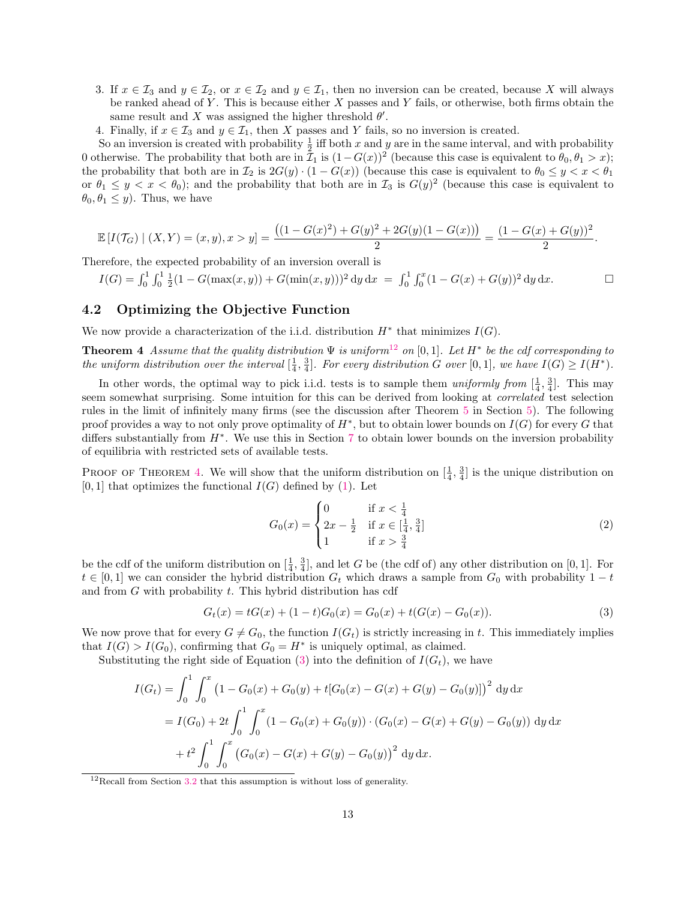- 3. If  $x \in \mathcal{I}_3$  and  $y \in \mathcal{I}_2$ , or  $x \in \mathcal{I}_2$  and  $y \in \mathcal{I}_1$ , then no inversion can be created, because X will always be ranked ahead of Y. This is because either  $X$  passes and Y fails, or otherwise, both firms obtain the same result and X was assigned the higher threshold  $\theta'$ .
- 4. Finally, if  $x \in \mathcal{I}_3$  and  $y \in \mathcal{I}_1$ , then X passes and Y fails, so no inversion is created.

So an inversion is created with probability  $\frac{1}{2}$  iff both x and y are in the same interval, and with probability 0 otherwise. The probability that both are in  $\mathcal{I}_1$  is  $(1 - G(x))^2$  (because this case is equivalent to  $\theta_0, \theta_1 > x$ ); the probability that both are in  $\mathcal{I}_2$  is  $2G(y) \cdot (1 - G(x))$  (because this case is equivalent to  $\theta_0 \leq y < x < \theta_1$ or  $\theta_1 \leq y < x < \theta_0$ ); and the probability that both are in  $\mathcal{I}_3$  is  $G(y)^2$  (because this case is equivalent to  $\theta_0, \theta_1 \leq y$ . Thus, we have

$$
\mathbb{E}\left[I(\mathcal{T}_G)\mid (X,Y)=(x,y), x>y\right] = \frac{((1-G(x)^2)+G(y)^2+2G(y)(1-G(x)))}{2} = \frac{(1-G(x)+G(y))^2}{2}.
$$

Therefore, the expected probability of an inversion overall is

$$
I(G) = \int_0^1 \int_0^1 \frac{1}{2} (1 - G(\max(x, y)) + G(\min(x, y)))^2 \, dy \, dx = \int_0^1 \int_0^x (1 - G(x) + G(y))^2 \, dy \, dx.
$$

### 4.2 Optimizing the Objective Function

We now provide a characterization of the i.i.d. distribution  $H^*$  that minimizes  $I(G)$ .

**Theorem 4** Assume that the quality distribution  $\Psi$  is uniform<sup>[12](#page-12-0)</sup> on [0,1]. Let  $H^*$  be the cdf corresponding to the uniform distribution over the interval  $[\frac{1}{4}, \frac{3}{4}]$ . For every distribution  $G$  over  $[0,1]$ , we have  $I(G) \geq I(H^*)$ .

In other words, the optimal way to pick i.i.d. tests is to sample them *uniformly from*  $[\frac{1}{4}, \frac{3}{4}]$ . This may seem somewhat surprising. Some intuition for this can be derived from looking at correlated test selection rules in the limit of infinitely many firms (see the discussion after Theorem [5](#page-14-1) in Section [5\)](#page-14-0). The following proof provides a way to not only prove optimality of  $H^*$ , but to obtain lower bounds on  $I(G)$  for every G that differs substantially from  $H^*$ . We use this in Section [7](#page-18-0) to obtain lower bounds on the inversion probability of equilibria with restricted sets of available tests.

PROOF OF THEOREM [4.](#page-12-1) We will show that the uniform distribution on  $\left[\frac{1}{4}, \frac{3}{4}\right]$  is the unique distribution on  $[0, 1]$  that optimizes the functional  $I(G)$  defined by  $(1)$ . Let

<span id="page-12-1"></span>
$$
G_0(x) = \begin{cases} 0 & \text{if } x < \frac{1}{4} \\ 2x - \frac{1}{2} & \text{if } x \in [\frac{1}{4}, \frac{3}{4}] \\ 1 & \text{if } x > \frac{3}{4} \end{cases}
$$
 (2)

be the cdf of the uniform distribution on  $[\frac{1}{4}, \frac{3}{4}]$ , and let G be (the cdf of) any other distribution on [0, 1]. For  $t \in [0,1]$  we can consider the hybrid distribution  $G_t$  which draws a sample from  $G_0$  with probability  $1-t$ and from  $G$  with probability  $t$ . This hybrid distribution has cdf

<span id="page-12-2"></span>
$$
G_t(x) = tG(x) + (1-t)G_0(x) = G_0(x) + t(G(x) - G_0(x)).
$$
\n(3)

We now prove that for every  $G \neq G_0$ , the function  $I(G_t)$  is strictly increasing in t. This immediately implies that  $I(G) > I(G_0)$ , confirming that  $G_0 = H^*$  is uniquely optimal, as claimed.

Substituting the right side of Equation [\(3\)](#page-12-2) into the definition of  $I(G_t)$ , we have

$$
I(G_t) = \int_0^1 \int_0^x \left(1 - G_0(x) + G_0(y) + t[G_0(x) - G(x) + G(y) - G_0(y)]\right)^2 dy dx
$$
  
=  $I(G_0) + 2t \int_0^1 \int_0^x (1 - G_0(x) + G_0(y)) \cdot (G_0(x) - G(x) + G(y) - G_0(y)) dy dx$   
+  $t^2 \int_0^1 \int_0^x (G_0(x) - G(x) + G(y) - G_0(y))^2 dy dx.$ 

<span id="page-12-0"></span><sup>12</sup>Recall from Section [3.2](#page-10-3) that this assumption is without loss of generality.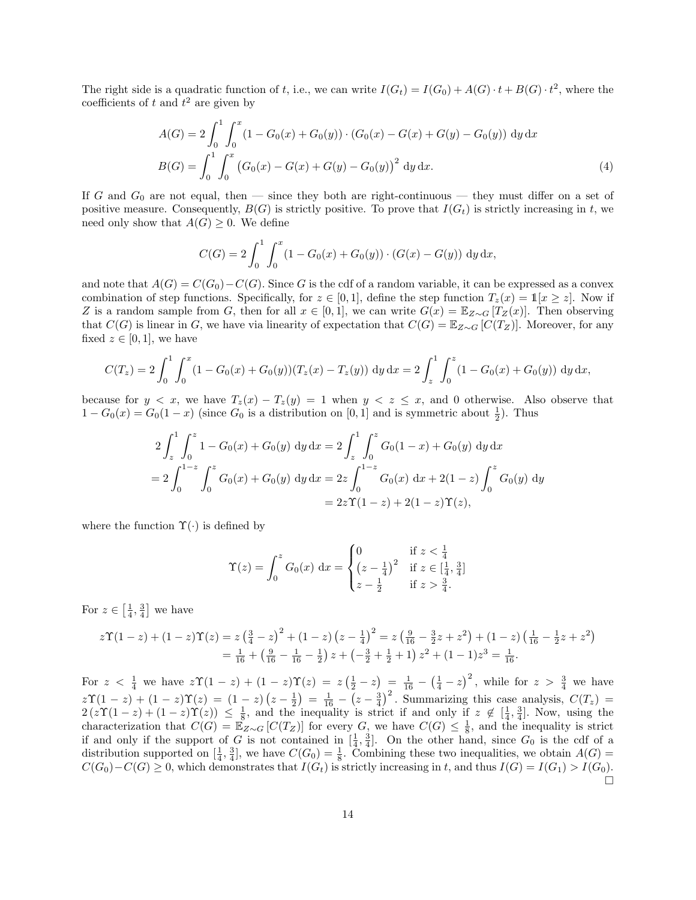The right side is a quadratic function of t, i.e., we can write  $I(G_t) = I(G_0) + A(G) \cdot t + B(G) \cdot t^2$ , where the coefficients of  $t$  and  $t^2$  are given by

$$
A(G) = 2 \int_0^1 \int_0^x (1 - G_0(x) + G_0(y)) \cdot (G_0(x) - G(x) + G(y) - G_0(y)) \, dy \, dx
$$
  
\n
$$
B(G) = \int_0^1 \int_0^x (G_0(x) - G(x) + G(y) - G_0(y))^2 \, dy \, dx.
$$
\n(4)

If G and  $G_0$  are not equal, then — since they both are right-continuous — they must differ on a set of positive measure. Consequently,  $B(G)$  is strictly positive. To prove that  $I(G_t)$  is strictly increasing in t, we need only show that  $A(G) \geq 0$ . We define

<span id="page-13-0"></span>
$$
C(G) = 2 \int_0^1 \int_0^x (1 - G_0(x) + G_0(y)) \cdot (G(x) - G(y)) \, dy \, dx,
$$

and note that  $A(G) = C(G_0) - C(G)$ . Since G is the cdf of a random variable, it can be expressed as a convex combination of step functions. Specifically, for  $z \in [0,1]$ , define the step function  $T_z(x) = \mathbb{1}[x \geq z]$ . Now if Z is a random sample from G, then for all  $x \in [0,1]$ , we can write  $G(x) = \mathbb{E}_{Z \sim G} [T_Z(x)]$ . Then observing that  $C(G)$  is linear in G, we have via linearity of expectation that  $C(G) = \mathbb{E}_{Z \sim G} [C(T_Z)]$ . Moreover, for any fixed  $z \in [0, 1]$ , we have

$$
C(T_z) = 2\int_0^1 \int_0^x (1 - G_0(x) + G_0(y))(T_z(x) - T_z(y)) \, dy \, dx = 2\int_z^1 \int_0^z (1 - G_0(x) + G_0(y)) \, dy \, dx,
$$

because for  $y < x$ , we have  $T_z(x) - T_z(y) = 1$  when  $y < z \leq x$ , and 0 otherwise. Also observe that  $1 - G_0(x) = G_0(1 - x)$  (since  $G_0$  is a distribution on [0, 1] and is symmetric about  $\frac{1}{2}$ ). Thus

$$
2\int_{z}^{1} \int_{0}^{z} 1 - G_{0}(x) + G_{0}(y) dy dx = 2\int_{z}^{1} \int_{0}^{z} G_{0}(1-x) + G_{0}(y) dy dx
$$
  
= 
$$
2\int_{0}^{1-z} \int_{0}^{z} G_{0}(x) + G_{0}(y) dy dx = 2z \int_{0}^{1-z} G_{0}(x) dx + 2(1-z) \int_{0}^{z} G_{0}(y) dy
$$
  
= 
$$
2z \Upsilon(1-z) + 2(1-z) \Upsilon(z),
$$

where the function  $\Upsilon(\cdot)$  is defined by

$$
\Upsilon(z) = \int_0^z G_0(x) dx = \begin{cases} 0 & \text{if } z < \frac{1}{4} \\ \left(z - \frac{1}{4}\right)^2 & \text{if } z \in \left[\frac{1}{4}, \frac{3}{4}\right] \\ z - \frac{1}{2} & \text{if } z > \frac{3}{4}. \end{cases}
$$

For  $z \in \left[\frac{1}{4}, \frac{3}{4}\right]$  we have

$$
z\Upsilon(1-z) + (1-z)\Upsilon(z) = z\left(\frac{3}{4} - z\right)^2 + (1-z)\left(z - \frac{1}{4}\right)^2 = z\left(\frac{9}{16} - \frac{3}{2}z + z^2\right) + (1-z)\left(\frac{1}{16} - \frac{1}{2}z + z^2\right)
$$
  
=  $\frac{1}{16} + \left(\frac{9}{16} - \frac{1}{16} - \frac{1}{2}\right)z + \left(-\frac{3}{2} + \frac{1}{2} + 1\right)z^2 + (1-1)z^3 = \frac{1}{16}.$ 

For  $z < \frac{1}{4}$  we have  $z\Upsilon(1-z) + (1-z)\Upsilon(z) = z(\frac{1}{2}-z) = \frac{1}{16} - (\frac{1}{4}-z)^2$ , while for  $z > \frac{3}{4}$  we have  $z\Upsilon(1-z) + (1-z)\Upsilon(z) = (1-z)(z-\frac{1}{2}) = \frac{1}{16} - (z-\frac{3}{4})^2$ . Summarizing this case analysis,  $C(T_z) =$  $2(z\Upsilon(1-z)+(1-z)\Upsilon(z)) \leq \frac{1}{8}$ , and the inequality is strict if and only if  $z \notin [\frac{1}{4},\frac{3}{4}]$ . Now, using the characterization that  $C(G) = \mathbb{E}_{Z\sim G} [C(T_Z)]$  for every  $G$ , we have  $C(G) \leq \frac{1}{8}$ , and the inequality is strict if and only if the support of G is not contained in  $[\frac{1}{4}, \frac{3}{4}]$ . On the other hand, since  $G_0$  is the cdf of a distribution supported on  $[\frac{1}{4}, \frac{3}{4}]$ , we have  $C(G_0) = \frac{1}{8}$ . Combining these two inequalities, we obtain  $A(G)$  $C(G_0)-C(G) \geq 0$ , which demonstrates that  $I(G_t)$  is strictly increasing in t, and thus  $I(G) = I(G_1) > I(G_0)$ . Ò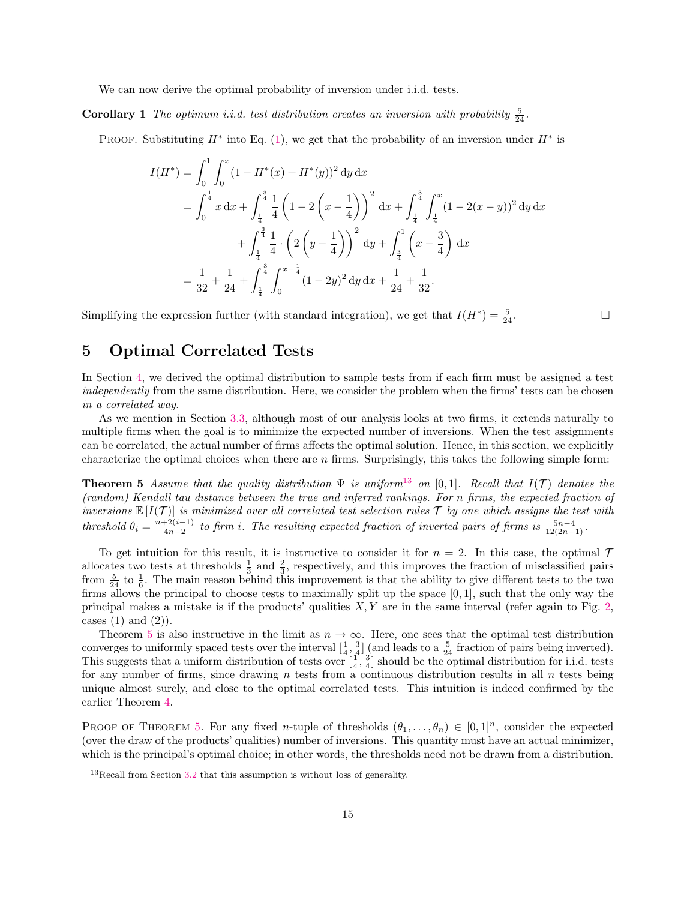We can now derive the optimal probability of inversion under i.i.d. tests.

<span id="page-14-3"></span>**Corollary 1** The optimum i.i.d. test distribution creates an inversion with probability  $\frac{5}{24}$ .

PROOF. Substituting  $H^*$  into Eq. [\(1\)](#page-11-3), we get that the probability of an inversion under  $H^*$  is

$$
I(H^*) = \int_0^1 \int_0^x (1 - H^*(x) + H^*(y))^2 \, dy \, dx
$$
  
= 
$$
\int_0^{\frac{1}{4}} x \, dx + \int_{\frac{1}{4}}^{\frac{3}{4}} \frac{1}{4} \left( 1 - 2 \left( x - \frac{1}{4} \right) \right)^2 \, dx + \int_{\frac{1}{4}}^{\frac{3}{4}} \int_{\frac{1}{4}}^x (1 - 2(x - y))^2 \, dy \, dx
$$
  
+ 
$$
\int_{\frac{1}{4}}^{\frac{3}{4}} \frac{1}{4} \cdot \left( 2 \left( y - \frac{1}{4} \right) \right)^2 \, dy + \int_{\frac{3}{4}}^1 \left( x - \frac{3}{4} \right) \, dx
$$
  
= 
$$
\frac{1}{32} + \frac{1}{24} + \int_{\frac{1}{4}}^{\frac{3}{4}} \int_0^{x - \frac{1}{4}} (1 - 2y)^2 \, dy \, dx + \frac{1}{24} + \frac{1}{32}.
$$

Simplifying the expression further (with standard integration), we get that  $I(H^*) = \frac{5}{2}$  $\frac{5}{24}$ .

# <span id="page-14-0"></span>5 Optimal Correlated Tests

In Section [4,](#page-11-0) we derived the optimal distribution to sample tests from if each firm must be assigned a test independently from the same distribution. Here, we consider the problem when the firms' tests can be chosen in a correlated way.

As we mention in Section [3.3,](#page-10-4) although most of our analysis looks at two firms, it extends naturally to multiple firms when the goal is to minimize the expected number of inversions. When the test assignments can be correlated, the actual number of firms affects the optimal solution. Hence, in this section, we explicitly characterize the optimal choices when there are  $n$  firms. Surprisingly, this takes the following simple form:

<span id="page-14-1"></span>**Theorem 5** Assume that the quality distribution  $\Psi$  is uniform<sup>[13](#page-14-2)</sup> on [0,1]. Recall that  $I(\mathcal{T})$  denotes the (random) Kendall tau distance between the true and inferred rankings. For n firms, the expected fraction of inversions  $\mathbb{E}[I(\mathcal{T})]$  is minimized over all correlated test selection rules T by one which assigns the test with threshold  $\theta_i = \frac{n+2(i-1)}{4n-2}$  $\frac{+2(i-1)}{4n-2}$  to firm i. The resulting expected fraction of inverted pairs of firms is  $\frac{5n-4}{12(2n-1)}$ .

To get intuition for this result, it is instructive to consider it for  $n = 2$ . In this case, the optimal T allocates two tests at thresholds  $\frac{1}{3}$  and  $\frac{2}{3}$ , respectively, and this improves the fraction of misclassified pairs from  $\frac{5}{24}$  to  $\frac{1}{6}$ . The main reason behind this improvement is that the ability to give different tests to the two firms allows the principal to choose tests to maximally split up the space [0, 1], such that the only way the principal makes a mistake is if the products' qualities  $X, Y$  are in the same interval (refer again to Fig. [2,](#page-11-2) cases  $(1)$  and  $(2)$ ).

Theorem [5](#page-14-1) is also instructive in the limit as  $n \to \infty$ . Here, one sees that the optimal test distribution converges to uniformly spaced tests over the interval  $\left[\frac{1}{4}, \frac{3}{4}\right]$  (and leads to a  $\frac{5}{24}$  fraction of pairs being inverted). This suggests that a uniform distribution of tests over  $\left[\frac{1}{4}, \frac{3}{4}\right]$  should be the optimal distribution for i.i.d. tests for any number of firms, since drawing n tests from a continuous distribution results in all  $n$  tests being unique almost surely, and close to the optimal correlated tests. This intuition is indeed confirmed by the earlier Theorem [4.](#page-12-1)

PROOF OF THEOREM [5.](#page-14-1) For any fixed n-tuple of thresholds  $(\theta_1, \ldots, \theta_n) \in [0,1]^n$ , consider the expected (over the draw of the products' qualities) number of inversions. This quantity must have an actual minimizer, which is the principal's optimal choice; in other words, the thresholds need not be drawn from a distribution.

<span id="page-14-2"></span><sup>13</sup>Recall from Section [3.2](#page-10-3) that this assumption is without loss of generality.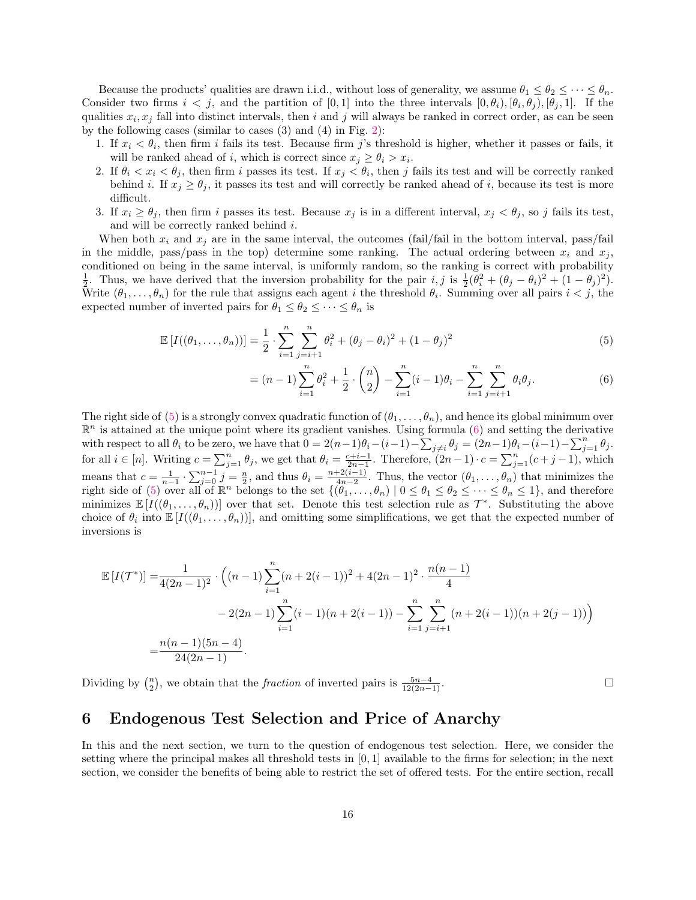Because the products' qualities are drawn i.i.d., without loss of generality, we assume  $\theta_1 \leq \theta_2 \leq \cdots \leq \theta_n$ . Consider two firms  $i < j$ , and the partition of [0,1] into the three intervals  $[0, \theta_i), [\theta_i, \theta_j), [\theta_j, 1]$ . If the qualities  $x_i, x_j$  fall into distinct intervals, then i and j will always be ranked in correct order, as can be seen by the following cases (similar to cases (3) and (4) in Fig. [2\)](#page-11-2):

- 1. If  $x_i < \theta_i$ , then firm i fails its test. Because firm j's threshold is higher, whether it passes or fails, it will be ranked ahead of i, which is correct since  $x_j \geq \theta_i > x_i$ .
- 2. If  $\theta_i < x_i < \theta_j$ , then firm i passes its test. If  $x_j < \theta_i$ , then j fails its test and will be correctly ranked behind i. If  $x_j \geq \theta_j$ , it passes its test and will correctly be ranked ahead of i, because its test is more difficult.
- 3. If  $x_i \ge \theta_j$ , then firm i passes its test. Because  $x_j$  is in a different interval,  $x_j < \theta_j$ , so j fails its test, and will be correctly ranked behind i.

When both  $x_i$  and  $x_j$  are in the same interval, the outcomes (fail/fail in the bottom interval, pass/fail in the middle, pass/pass in the top) determine some ranking. The actual ordering between  $x_i$  and  $x_j$ , conditioned on being in the same interval, is uniformly random, so the ranking is correct with probability  $\frac{1}{2}$ . Thus, we have derived that the inversion probability for the pair i, j is  $\frac{1}{2}(\theta_i^2 + (\theta_j - \theta_i)^2 + (1 - \theta_j)^2)$ . Write  $(\theta_1,\ldots,\theta_n)$  for the rule that assigns each agent i the threshold  $\theta_i$ . Summing over all pairs  $i < j$ , the expected number of inverted pairs for  $\theta_1 \leq \theta_2 \leq \cdots \leq \theta_n$  is

$$
\mathbb{E}\left[I((\theta_1,\ldots,\theta_n))\right] = \frac{1}{2} \cdot \sum_{i=1}^n \sum_{j=i+1}^n \theta_i^2 + (\theta_j - \theta_i)^2 + (1 - \theta_j)^2 \tag{5}
$$

$$
= (n-1)\sum_{i=1}^{n} \theta_i^2 + \frac{1}{2} \cdot {n \choose 2} - \sum_{i=1}^{n} (i-1)\theta_i - \sum_{i=1}^{n} \sum_{j=i+1}^{n} \theta_i \theta_j.
$$
 (6)

The right side of [\(5\)](#page-15-1) is a strongly convex quadratic function of  $(\theta_1, \ldots, \theta_n)$ , and hence its global minimum over  $\mathbb{R}^n$  is attained at the unique point where its gradient vanishes. Using formula [\(6\)](#page-15-2) and setting the derivative with respect to all  $\theta_i$  to be zero, we have that  $0 = 2(n-1)\theta_i - (i-1) - \sum_{j \neq i} \theta_j = (2n-1)\theta_i - (i-1) - \sum_{j=1}^n \theta_j$ . for all  $i \in [n]$ . Writing  $c = \sum_{j=1}^n \theta_j$ , we get that  $\theta_i = \frac{c+i-1}{2n-1}$ . Therefore,  $(2n-1) \cdot c = \sum_{j=1}^n (c+j-1)$ , which means that  $c = \frac{1}{n-1} \cdot \sum_{j=0}^{n-1} j = \frac{n}{2}$ , and thus  $\theta_i = \frac{n+2(i-1)}{4n-2}$  $\frac{4n-1}{4n-2}$ . Thus, the vector  $(\theta_1,\ldots,\theta_n)$  that minimizes the right side of [\(5\)](#page-15-1) over all of  $\mathbb{R}^n$  belongs to the set  $\{(\theta_1,\ldots,\theta_n) | 0 \leq \theta_1 \leq \theta_2 \leq \cdots \leq \theta_n \leq 1\}$ , and therefore minimizes  $\mathbb{E}[I((\theta_1,\ldots,\theta_n))]$  over that set. Denote this test selection rule as  $\mathcal{T}^*$ . Substituting the above choice of  $\theta_i$  into  $\mathbb{E}[I((\theta_1,\ldots,\theta_n))]$ , and omitting some simplifications, we get that the expected number of inversions is

$$
\mathbb{E}\left[I(\mathcal{T}^*)\right] = \frac{1}{4(2n-1)^2} \cdot \left((n-1)\sum_{i=1}^n (n+2(i-1))^2 + 4(2n-1)^2 \cdot \frac{n(n-1)}{4} - 2(2n-1)\sum_{i=1}^n (i-1)(n+2(i-1)) - \sum_{i=1}^n \sum_{j=i+1}^n (n+2(i-1))(n+2(j-1))\right)
$$

$$
= \frac{n(n-1)(5n-4)}{24(2n-1)}.
$$

Dividing by  $\binom{n}{2}$ , we obtain that the *fraction* of inverted pairs is  $\frac{5n-4}{12(2n-1)}$ .

<span id="page-15-2"></span><span id="page-15-1"></span>

### <span id="page-15-0"></span>6 Endogenous Test Selection and Price of Anarchy

In this and the next section, we turn to the question of endogenous test selection. Here, we consider the setting where the principal makes all threshold tests in  $[0, 1]$  available to the firms for selection; in the next section, we consider the benefits of being able to restrict the set of offered tests. For the entire section, recall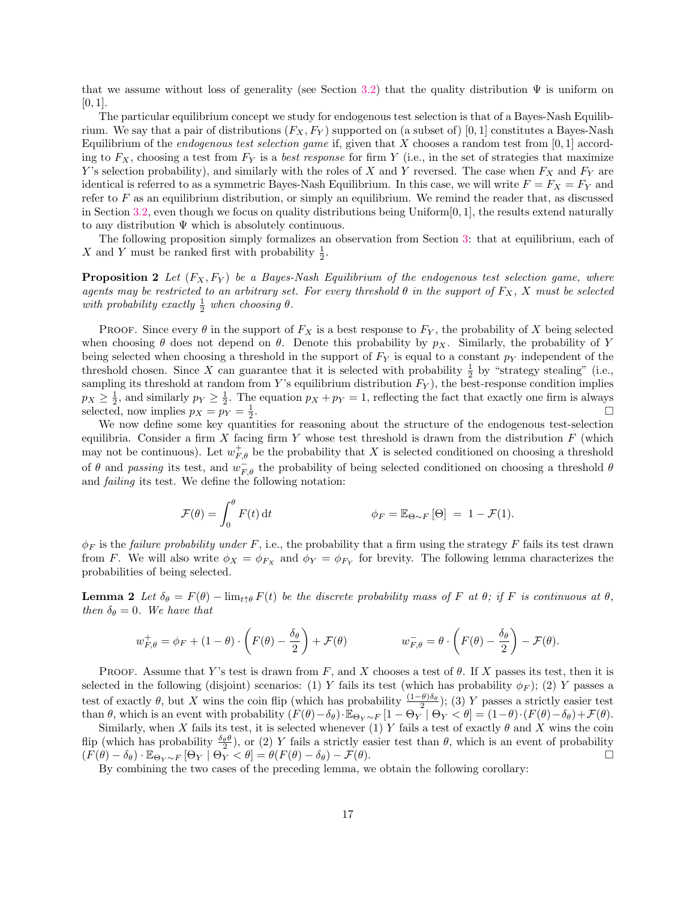that we assume without loss of generality (see Section [3.2\)](#page-10-3) that the quality distribution  $\Psi$  is uniform on  $[0, 1]$ .

The particular equilibrium concept we study for endogenous test selection is that of a Bayes-Nash Equilibrium. We say that a pair of distributions  $(F_X, F_Y)$  supported on (a subset of) [0, 1] constitutes a Bayes-Nash Equilibrium of the *endogenous test selection game* if, given that X chooses a random test from  $[0, 1]$  according to  $F_X$ , choosing a test from  $F_Y$  is a best response for firm Y (i.e., in the set of strategies that maximize Y's selection probability), and similarly with the roles of X and Y reversed. The case when  $F_X$  and  $F_Y$  are identical is referred to as a symmetric Bayes-Nash Equilibrium. In this case, we will write  $F = F_X = F_Y$  and refer to  $F$  as an equilibrium distribution, or simply an equilibrium. We remind the reader that, as discussed in Section [3.2,](#page-10-3) even though we focus on quality distributions being Uniform $[0, 1]$ , the results extend naturally to any distribution Ψ which is absolutely continuous.

The following proposition simply formalizes an observation from Section [3:](#page-8-0) that at equilibrium, each of X and Y must be ranked first with probability  $\frac{1}{2}$ .

<span id="page-16-1"></span>**Proposition 2** Let  $(F_X, F_Y)$  be a Bayes-Nash Equilibrium of the endogenous test selection game, where agents may be restricted to an arbitrary set. For every threshold  $\theta$  in the support of  $F_X$ , X must be selected with probability exactly  $\frac{1}{2}$  when choosing  $\theta$ .

PROOF. Since every  $\theta$  in the support of  $F_X$  is a best response to  $F_Y$ , the probability of X being selected when choosing  $\theta$  does not depend on  $\theta$ . Denote this probability by  $p_X$ . Similarly, the probability of Y being selected when choosing a threshold in the support of  $F<sub>Y</sub>$  is equal to a constant  $p<sub>Y</sub>$  independent of the threshold chosen. Since X can guarantee that it is selected with probability  $\frac{1}{2}$  by "strategy stealing" (i.e., sampling its threshold at random from Y's equilibrium distribution  $F_Y$ ), the best-response condition implies  $p_X \geq \frac{1}{2}$ , and similarly  $p_Y \geq \frac{1}{2}$ . The equation  $p_X + p_Y = 1$ , reflecting the fact that exactly one firm is always selected, now implies  $p_X = p_Y = \frac{1}{2}$ .

We now define some key quantities for reasoning about the structure of the endogenous test-selection equilibria. Consider a firm X facing firm Y whose test threshold is drawn from the distribution  $F$  (which may not be continuous). Let  $w_{F,\theta}^+$  be the probability that X is selected conditioned on choosing a threshold of  $\theta$  and passing its test, and  $w_{F,\theta}^-$ , the probability of being selected conditioned on choosing a threshold  $\theta$ and failing its test. We define the following notation:

$$
\mathcal{F}(\theta) = \int_0^{\theta} F(t) dt \qquad \phi_F = \mathbb{E}_{\Theta \sim F} [\Theta] = 1 - \mathcal{F}(1).
$$

 $\phi_F$  is the *failure probability under* F, i.e., the probability that a firm using the strategy F fails its test drawn from F. We will also write  $\phi_X = \phi_{F_X}$  and  $\phi_Y = \phi_{F_Y}$  for brevity. The following lemma characterizes the probabilities of being selected.

<span id="page-16-2"></span>**Lemma 2** Let  $\delta_{\theta} = F(\theta) - \lim_{t \uparrow \theta} F(t)$  be the discrete probability mass of F at  $\theta$ ; if F is continuous at  $\theta$ , then  $\delta_{\theta} = 0$ . We have that

$$
w_{F,\theta}^+ = \phi_F + (1-\theta) \cdot \left( F(\theta) - \frac{\delta_{\theta}}{2} \right) + \mathcal{F}(\theta) \qquad \qquad w_{F,\theta}^- = \theta \cdot \left( F(\theta) - \frac{\delta_{\theta}}{2} \right) - \mathcal{F}(\theta).
$$

PROOF. Assume that Y's test is drawn from F, and X chooses a test of  $\theta$ . If X passes its test, then it is selected in the following (disjoint) scenarios: (1) Y fails its test (which has probability  $\phi_F$ ); (2) Y passes a test of exactly  $\theta$ , but X wins the coin flip (which has probability  $\frac{(1-\theta)\delta_{\theta}}{2}$ ); (3) Y passes a strictly easier test than  $\theta$ , which is an event with probability  $(F(\theta)-\delta_{\theta})\cdot \mathbb{E}_{\Theta_Y\sim F}[1-\Theta_Y | \Theta_Y < \theta] = (1-\theta)\cdot(F(\theta)-\delta_{\theta})+F(\theta)$ .

Similarly, when X fails its test, it is selected whenever (1) Y fails a test of exactly  $\theta$  and X wins the coin flip (which has probability  $\frac{\delta_{\theta}\theta}{2}$ ), or (2) Y fails a strictly easier test than  $\theta$ , which is an event of probability  $(F(\theta) - \delta_{\theta}) \cdot \mathbb{E}_{\Theta_Y \sim F} [\Theta_Y | \Theta_Y \subset \theta] = \theta(F(\theta) - \delta_{\theta}) - \mathcal{F}(\theta).$ 

<span id="page-16-0"></span>By combining the two cases of the preceding lemma, we obtain the following corollary: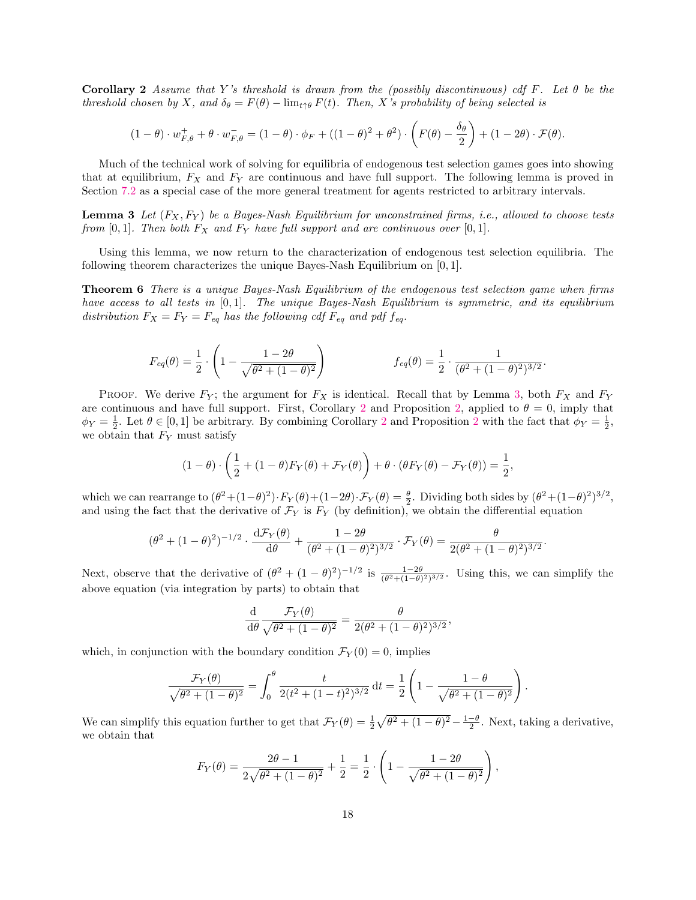**Corollary 2** Assume that Y's threshold is drawn from the (possibly discontinuous) cdf F. Let  $\theta$  be the threshold chosen by X, and  $\delta_{\theta} = F(\theta) - \lim_{t \uparrow \theta} F(t)$ . Then, X's probability of being selected is

$$
(1 - \theta) \cdot w_{F,\theta}^+ + \theta \cdot w_{F,\theta}^- = (1 - \theta) \cdot \phi_F + ((1 - \theta)^2 + \theta^2) \cdot \left( F(\theta) - \frac{\delta_{\theta}}{2} \right) + (1 - 2\theta) \cdot \mathcal{F}(\theta).
$$

Much of the technical work of solving for equilibria of endogenous test selection games goes into showing that at equilibrium,  $F_X$  and  $F_Y$  are continuous and have full support. The following lemma is proved in Section [7.2](#page-21-0) as a special case of the more general treatment for agents restricted to arbitrary intervals.

<span id="page-17-0"></span>**Lemma 3** Let  $(F_X, F_Y)$  be a Bayes-Nash Equilibrium for unconstrained firms, i.e., allowed to choose tests from [0,1]. Then both  $F_X$  and  $F_Y$  have full support and are continuous over [0,1].

Using this lemma, we now return to the characterization of endogenous test selection equilibria. The following theorem characterizes the unique Bayes-Nash Equilibrium on  $[0, 1]$ .

<span id="page-17-1"></span>Theorem 6 There is a unique Bayes-Nash Equilibrium of the endogenous test selection game when firms have access to all tests in [0,1]. The unique Bayes-Nash Equilibrium is symmetric, and its equilibrium distribution  $F_X = F_Y = F_{eq}$  has the following cdf  $F_{eq}$  and pdf  $f_{eq}$ .

$$
F_{eq}(\theta) = \frac{1}{2} \cdot \left( 1 - \frac{1 - 2\theta}{\sqrt{\theta^2 + (1 - \theta)^2}} \right) \qquad f_{eq}(\theta) = \frac{1}{2} \cdot \frac{1}{(\theta^2 + (1 - \theta)^2)^{3/2}}.
$$

PROOF. We derive  $F_Y$ ; the argument for  $F_X$  is identical. Recall that by Lemma [3,](#page-17-0) both  $F_X$  and  $F_Y$ are continuous and have full support. First, Corollary [2](#page-16-0) and Proposition [2,](#page-16-1) applied to  $\theta = 0$ , imply that  $\phi_Y = \frac{1}{2}$  $\phi_Y = \frac{1}{2}$  $\phi_Y = \frac{1}{2}$ . Let  $\theta \in [0,1]$  be arbitrary. By combining Corollary 2 and Proposition 2 with the fact that  $\phi_Y = \frac{1}{2}$ , we obtain that  $F_Y$  must satisfy

$$
(1 - \theta) \cdot \left(\frac{1}{2} + (1 - \theta)F_Y(\theta) + \mathcal{F}_Y(\theta)\right) + \theta \cdot (\theta F_Y(\theta) - \mathcal{F}_Y(\theta)) = \frac{1}{2},
$$

which we can rearrange to  $(\theta^2 + (1-\theta)^2) \cdot F_Y(\theta) + (1-2\theta) \cdot \mathcal{F}_Y(\theta) = \frac{\theta}{2}$ . Dividing both sides by  $(\theta^2 + (1-\theta)^2)^{3/2}$ , and using the fact that the derivative of  $\mathcal{F}_Y$  is  $F_Y$  (by definition), we obtain the differential equation

$$
(\theta^2 + (1 - \theta)^2)^{-1/2} \cdot \frac{\mathrm{d} \mathcal{F}_Y(\theta)}{\mathrm{d} \theta} + \frac{1 - 2\theta}{(\theta^2 + (1 - \theta)^2)^{3/2}} \cdot \mathcal{F}_Y(\theta) = \frac{\theta}{2(\theta^2 + (1 - \theta)^2)^{3/2}}.
$$

Next, observe that the derivative of  $(\theta^2 + (1 - \theta)^2)^{-1/2}$  is  $\frac{1-2\theta}{(\theta^2 + (1-\theta)^2)^{3/2}}$ . Using this, we can simplify the above equation (via integration by parts) to obtain that

$$
\frac{\mathrm{d}}{\mathrm{d}\theta} \frac{\mathcal{F}_Y(\theta)}{\sqrt{\theta^2 + (1 - \theta)^2}} = \frac{\theta}{2(\theta^2 + (1 - \theta)^2)^{3/2}},
$$

which, in conjunction with the boundary condition  $\mathcal{F}_Y(0) = 0$ , implies

$$
\frac{\mathcal{F}_Y(\theta)}{\sqrt{\theta^2 + (1-\theta)^2}} = \int_0^{\theta} \frac{t}{2(t^2 + (1-t)^2)^{3/2}} dt = \frac{1}{2} \left( 1 - \frac{1-\theta}{\sqrt{\theta^2 + (1-\theta)^2}} \right).
$$

We can simplify this equation further to get that  $\mathcal{F}_Y(\theta) = \frac{1}{2}\sqrt{\theta^2 + (1-\theta)^2} - \frac{1-\theta}{2}$ . Next, taking a derivative, we obtain that

$$
F_Y(\theta) = \frac{2\theta - 1}{2\sqrt{\theta^2 + (1 - \theta)^2}} + \frac{1}{2} = \frac{1}{2} \cdot \left(1 - \frac{1 - 2\theta}{\sqrt{\theta^2 + (1 - \theta)^2}}\right),
$$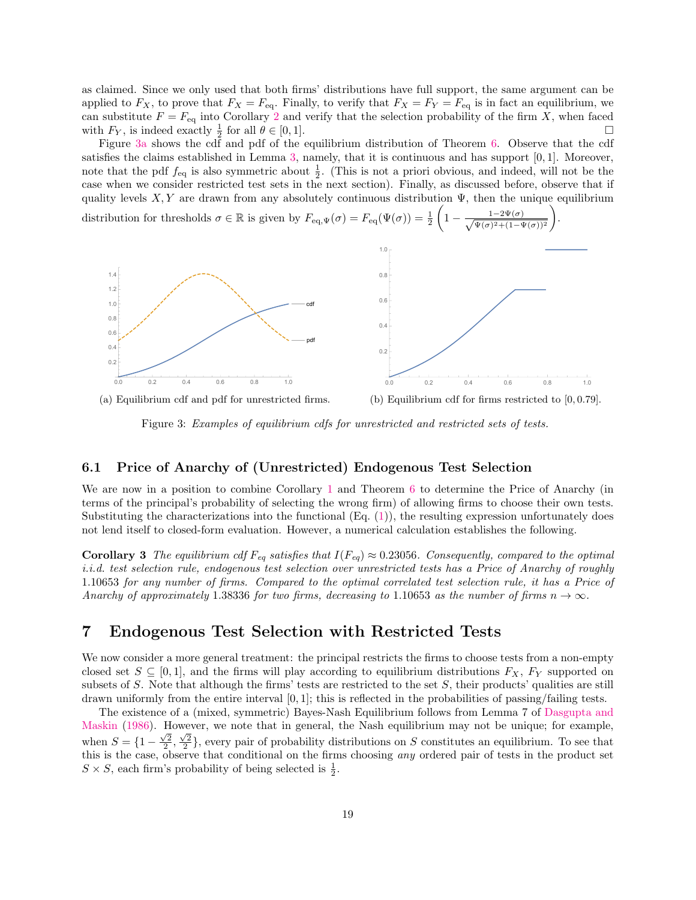as claimed. Since we only used that both firms' distributions have full support, the same argument can be applied to  $F_X$ , to prove that  $F_X = F_{eq}$ . Finally, to verify that  $F_X = F_Y = F_{eq}$  is in fact an equilibrium, we can substitute  $F = F_{\text{eq}}$  into Corollary [2](#page-16-0) and verify that the selection probability of the firm X, when faced with  $F_Y$ , is indeed exactly  $\frac{1}{2}$  for all  $\theta \in [0, 1]$ .

Figure [3a](#page-18-1) shows the cdf and pdf of the equilibrium distribution of Theorem [6.](#page-17-1) Observe that the cdf satisfies the claims established in Lemma [3,](#page-17-0) namely, that it is continuous and has support  $[0, 1]$ . Moreover, note that the pdf  $f_{\text{eq}}$  is also symmetric about  $\frac{1}{2}$ . (This is not a priori obvious, and indeed, will not be the case when we consider restricted test sets in the next section). Finally, as discussed before, observe that if quality levels  $X, Y$  are drawn from any absolutely continuous distribution  $\Psi$ , then the unique equilibrium .

distribution for thresholds  $\sigma \in \mathbb{R}$  is given by  $F_{\text{eq},\Psi}(\sigma) = F_{\text{eq}}(\Psi(\sigma)) = \frac{1}{2}$  $\left(1-\frac{1-2\Psi(\sigma)}{\sqrt{\frac{1}{2}(\sigma^2+\sigma^2)^2+(1-\sigma^2)^2}}\right)$  $\Psi(\sigma)^2 + (1-\Psi(\sigma))^2$ 

<span id="page-18-1"></span>

(a) Equilibrium cdf and pdf for unrestricted firms.

(b) Equilibrium cdf for firms restricted to [0, 0.79].

Figure 3: Examples of equilibrium cdfs for unrestricted and restricted sets of tests.

### 6.1 Price of Anarchy of (Unrestricted) Endogenous Test Selection

We are now in a position to combine Corollary [1](#page-14-3) and Theorem [6](#page-17-1) to determine the Price of Anarchy (in terms of the principal's probability of selecting the wrong firm) of allowing firms to choose their own tests. Substituting the characterizations into the functional (Eq. [\(1\)](#page-11-3)), the resulting expression unfortunately does not lend itself to closed-form evaluation. However, a numerical calculation establishes the following.

**Corollary 3** The equilibrium cdf  $F_{eq}$  satisfies that  $I(F_{eq}) \approx 0.23056$ . Consequently, compared to the optimal i.i.d. test selection rule, endogenous test selection over unrestricted tests has a Price of Anarchy of roughly 1.10653 for any number of firms. Compared to the optimal correlated test selection rule, it has a Price of Anarchy of approximately 1.38336 for two firms, decreasing to 1.10653 as the number of firms  $n \to \infty$ .

# <span id="page-18-0"></span>7 Endogenous Test Selection with Restricted Tests

We now consider a more general treatment: the principal restricts the firms to choose tests from a non-empty closed set  $S \subseteq [0,1]$ , and the firms will play according to equilibrium distributions  $F_X$ ,  $F_Y$  supported on subsets of  $S$ . Note that although the firms' tests are restricted to the set  $S$ , their products' qualities are still drawn uniformly from the entire interval [0, 1]; this is reflected in the probabilities of passing/failing tests.

The existence of a (mixed, symmetric) Bayes-Nash Equilibrium follows from Lemma 7 of [Dasgupta and](#page-29-16) [Maskin](#page-29-16) [\(1986\)](#page-29-16). However, we note that in general, the Nash equilibrium may not be unique; for example, when  $S = \{1 - \frac{\sqrt{2}}{2}, \frac{\sqrt{2}}{2}\}\,$  every pair of probability distributions on S constitutes an equilibrium. To see that this is the case, observe that conditional on the firms choosing any ordered pair of tests in the product set  $S \times S$ , each firm's probability of being selected is  $\frac{1}{2}$ .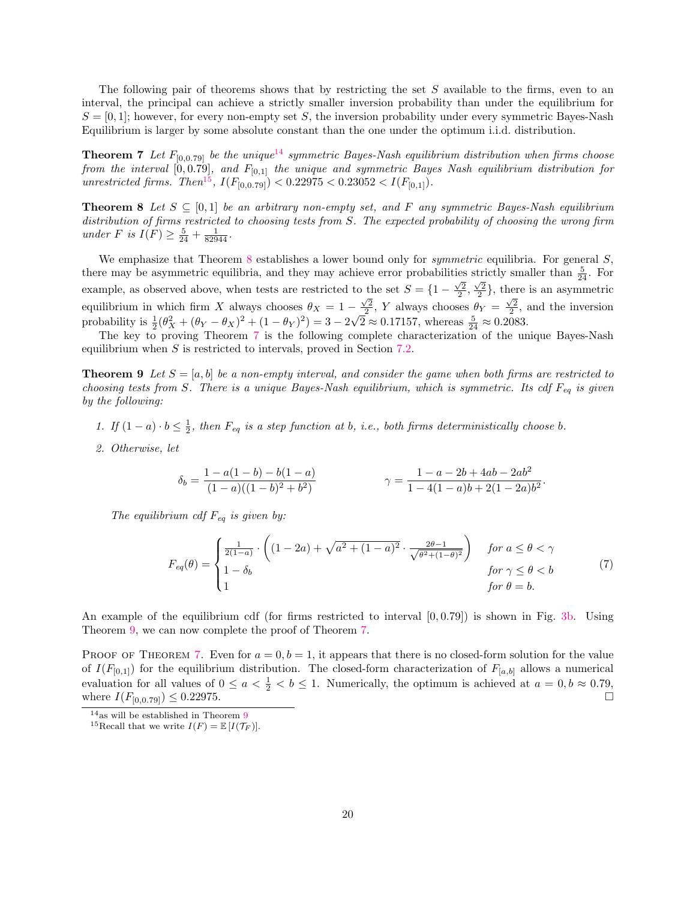The following pair of theorems shows that by restricting the set S available to the firms, even to an interval, the principal can achieve a strictly smaller inversion probability than under the equilibrium for  $S = [0, 1]$ ; however, for every non-empty set S, the inversion probability under every symmetric Bayes-Nash Equilibrium is larger by some absolute constant than the one under the optimum i.i.d. distribution.

<span id="page-19-3"></span>**Theorem 7** Let  $F_{[0,0.79]}$  be the unique<sup>[14](#page-19-0)</sup> symmetric Bayes-Nash equilibrium distribution when firms choose from the interval  $[0, 0.79]$ , and  $F_{[0,1]}$  the unique and symmetric Bayes Nash equilibrium distribution for unrestricted firms. Then<sup>[15](#page-19-1)</sup>,  $I(F_{[0,0.79]}) < 0.22975 < 0.23052 < I(F_{[0,1]})$ .

<span id="page-19-2"></span>**Theorem 8** Let  $S \subseteq [0,1]$  be an arbitrary non-empty set, and F any symmetric Bayes-Nash equilibrium distribution of firms restricted to choosing tests from S. The expected probability of choosing the wrong firm under F is  $I(F) \geq \frac{5}{24} + \frac{1}{82944}$ .

We emphasize that Theorem [8](#page-19-2) establishes a lower bound only for *symmetric* equilibria. For general  $S$ , there may be asymmetric equilibria, and they may achieve error probabilities strictly smaller than  $\frac{5}{24}$ . For example, as observed above, when tests are restricted to the set  $S = \{1 - \frac{\sqrt{2}}{2}, \frac{\sqrt{2}}{2}\}\,$  there is an asymmetric equilibrium in which firm X always chooses  $\theta_X = 1 - \frac{\sqrt{2}}{2}$ , Y always chooses  $\theta_Y = \frac{\sqrt{2}}{2}$ , and the inversion probability is  $\frac{1}{2}(\theta_X^2 + (\theta_Y - \theta_X)^2 + (1 - \theta_Y)^2) = 3 - 2$  $\sqrt{2} \approx 0.17157$ , whereas  $\frac{5}{24} \approx 0.2083$ .

The key to proving Theorem [7](#page-19-3) is the following complete characterization of the unique Bayes-Nash equilibrium when  $S$  is restricted to intervals, proved in Section [7.2.](#page-21-0)

<span id="page-19-4"></span>**Theorem 9** Let  $S = [a, b]$  be a non-empty interval, and consider the game when both firms are restricted to choosing tests from S. There is a unique Bayes-Nash equilibrium, which is symmetric. Its cdf  $F_{eq}$  is given by the following:

- 1. If  $(1-a)\cdot b\leq \frac{1}{2}$ , then  $F_{eq}$  is a step function at b, i.e., both firms deterministically choose b.
- 2. Otherwise, let

$$
\delta_b = \frac{1 - a(1 - b) - b(1 - a)}{(1 - a)((1 - b)^2 + b^2)} \qquad \gamma = \frac{1 - a - 2b + 4ab - 2ab^2}{1 - 4(1 - a)b + 2(1 - 2a)b^2}.
$$

The equilibrium cdf  $F_{eq}$  is given by:

$$
F_{eq}(\theta) = \begin{cases} \frac{1}{2(1-a)} \cdot \left( (1-2a) + \sqrt{a^2 + (1-a)^2} \cdot \frac{2\theta - 1}{\sqrt{\theta^2 + (1-\theta)^2}} \right) & \text{for } a \le \theta < \gamma \\ 1 - \delta_b & \text{for } \gamma \le \theta < b \\ 1 & \text{for } \theta = b. \end{cases} \tag{7}
$$

An example of the equilibrium cdf (for firms restricted to interval  $[0, 0.79]$ ) is shown in Fig. [3b.](#page-18-1) Using Theorem [9,](#page-19-4) we can now complete the proof of Theorem [7.](#page-19-3)

PROOF OF THEOREM [7.](#page-19-3) Even for  $a = 0, b = 1$ , it appears that there is no closed-form solution for the value of  $I(F_{[0,1]})$  for the equilibrium distribution. The closed-form characterization of  $F_{[a,b]}$  allows a numerical evaluation for all values of  $0 \le a < \frac{1}{2} < b \le 1$ . Numerically, the optimum is achieved at  $a = 0, b \approx 0.79$ , where  $I(F_{[0,0.79]}) \leq 0.22975.$ 

<span id="page-19-0"></span> $14$ as will be established in Theorem [9](#page-19-4)

<span id="page-19-1"></span><sup>&</sup>lt;sup>15</sup>Recall that we write  $I(F) = \mathbb{E}[I(\mathcal{T}_F)].$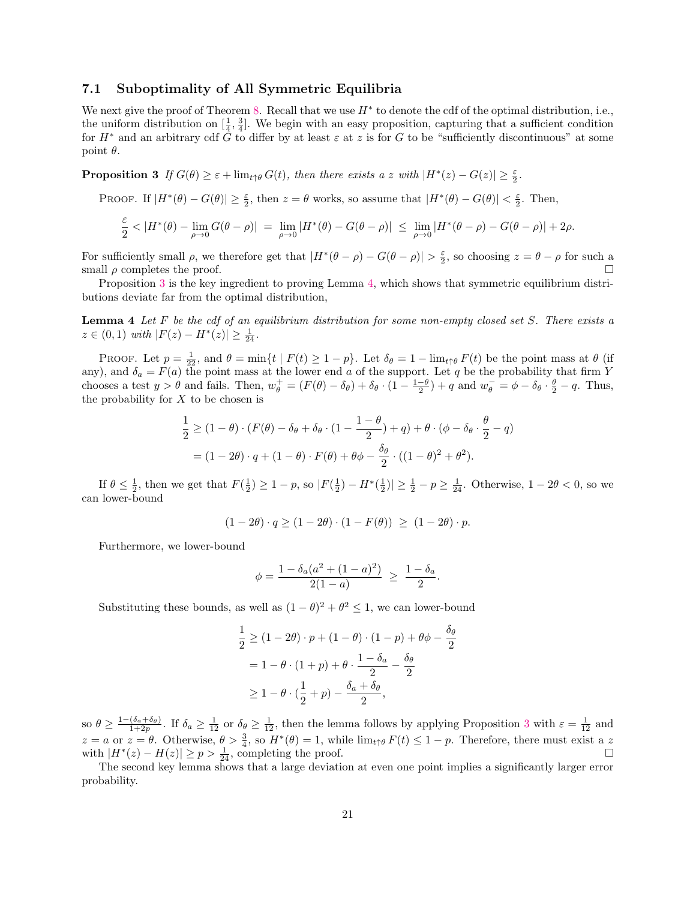### 7.1 Suboptimality of All Symmetric Equilibria

We next give the proof of Theorem [8.](#page-19-2) Recall that we use  $H^*$  to denote the cdf of the optimal distribution, i.e., the uniform distribution on  $[\frac{1}{4}, \frac{3}{4}]$ . We begin with an easy proposition, capturing that a sufficient condition for  $H^*$  and an arbitrary cdf G to differ by at least  $\varepsilon$  at z is for G to be "sufficiently discontinuous" at some point  $\theta$ .

<span id="page-20-0"></span>**Proposition 3** If  $G(\theta) \geq \varepsilon + \lim_{t \uparrow \theta} G(t)$ , then there exists a z with  $|H^*(z) - G(z)| \geq \frac{\varepsilon}{2}$ .

PROOF. If  $|H^*(\theta) - G(\theta)| \ge \frac{\varepsilon}{2}$ , then  $z = \theta$  works, so assume that  $|H^*(\theta) - G(\theta)| < \frac{\varepsilon}{2}$ . Then,

$$
\frac{\varepsilon}{2}<|H^*(\theta)-\lim_{\rho\to 0}G(\theta-\rho)|\;=\;\lim_{\rho\to 0}|H^*(\theta)-G(\theta-\rho)|\;\leq\;\lim_{\rho\to 0}|H^*(\theta-\rho)-G(\theta-\rho)|+2\rho.
$$

For sufficiently small  $\rho$ , we therefore get that  $|H^*(\theta - \rho) - G(\theta - \rho)| > \frac{\varepsilon}{2}$ , so choosing  $z = \theta - \rho$  for such a small  $\rho$  completes the proof.

Proposition [3](#page-20-0) is the key ingredient to proving Lemma [4,](#page-20-1) which shows that symmetric equilibrium distributions deviate far from the optimal distribution,

<span id="page-20-1"></span>**Lemma 4** Let  $F$  be the cdf of an equilibrium distribution for some non-empty closed set  $S$ . There exists a  $z \in (0,1)$  with  $|F(z) - H^*(z)| \ge \frac{1}{24}$ .

PROOF. Let  $p = \frac{1}{22}$ , and  $\theta = \min\{t \mid F(t) \ge 1 - p\}$ . Let  $\delta_{\theta} = 1 - \lim_{t \uparrow \theta} F(t)$  be the point mass at  $\theta$  (if any), and  $\delta_a = F(a)$  the point mass at the lower end a of the support. Let q be the probability that firm Y chooses a test  $y > \theta$  and fails. Then,  $w_{\theta}^{+} = (F(\theta) - \delta_{\theta}) + \delta_{\theta} \cdot (1 - \frac{1-\theta}{2}) + q$  and  $w_{\theta}^{-} = \phi - \delta_{\theta} \cdot \frac{\theta}{2} - q$ . Thus, the probability for  $X$  to be chosen is

$$
\frac{1}{2} \ge (1 - \theta) \cdot (F(\theta) - \delta_{\theta} + \delta_{\theta} \cdot (1 - \frac{1 - \theta}{2}) + q) + \theta \cdot (\phi - \delta_{\theta} \cdot \frac{\theta}{2} - q)
$$

$$
= (1 - 2\theta) \cdot q + (1 - \theta) \cdot F(\theta) + \theta \phi - \frac{\delta_{\theta}}{2} \cdot ((1 - \theta)^{2} + \theta^{2}).
$$

If  $\theta \leq \frac{1}{2}$ , then we get that  $F(\frac{1}{2}) \geq 1-p$ , so  $|F(\frac{1}{2}) - H^*(\frac{1}{2})| \geq \frac{1}{2}-p \geq \frac{1}{24}$ . Otherwise,  $1-2\theta < 0$ , so we can lower-bound

$$
(1 - 2\theta) \cdot q \ge (1 - 2\theta) \cdot (1 - F(\theta)) \ge (1 - 2\theta) \cdot p.
$$

Furthermore, we lower-bound

$$
\phi = \frac{1 - \delta_a(a^2 + (1 - a)^2)}{2(1 - a)} \ge \frac{1 - \delta_a}{2}.
$$

Substituting these bounds, as well as  $(1 - \theta)^2 + \theta^2 \leq 1$ , we can lower-bound

$$
\frac{1}{2} \ge (1 - 2\theta) \cdot p + (1 - \theta) \cdot (1 - p) + \theta\phi - \frac{\delta\theta}{2}
$$

$$
= 1 - \theta \cdot (1 + p) + \theta \cdot \frac{1 - \delta_a}{2} - \frac{\delta\theta}{2}
$$

$$
\ge 1 - \theta \cdot (\frac{1}{2} + p) - \frac{\delta_a + \delta_\theta}{2},
$$

so  $\theta \ge \frac{1-(\delta_a+\delta_\theta)}{1+2p}$ . If  $\delta_a \ge \frac{1}{12}$  or  $\delta_\theta \ge \frac{1}{12}$ , then the lemma follows by applying Proposition [3](#page-20-0) with  $\varepsilon = \frac{1}{12}$  and  $z = a$  or  $z = \theta$ . Otherwise,  $\theta > \frac{3}{4}$ , so  $H^*(\theta) = 1$ , while  $\lim_{t \uparrow \theta} F(t) \leq 1 - p$ . Therefore, there must exist a z with  $|H^*(z) - H(z)| \geq p > \frac{1}{2}$  $\frac{1}{24}$ , completing the proof.

<span id="page-20-2"></span>The second key lemma shows that a large deviation at even one point implies a significantly larger error probability.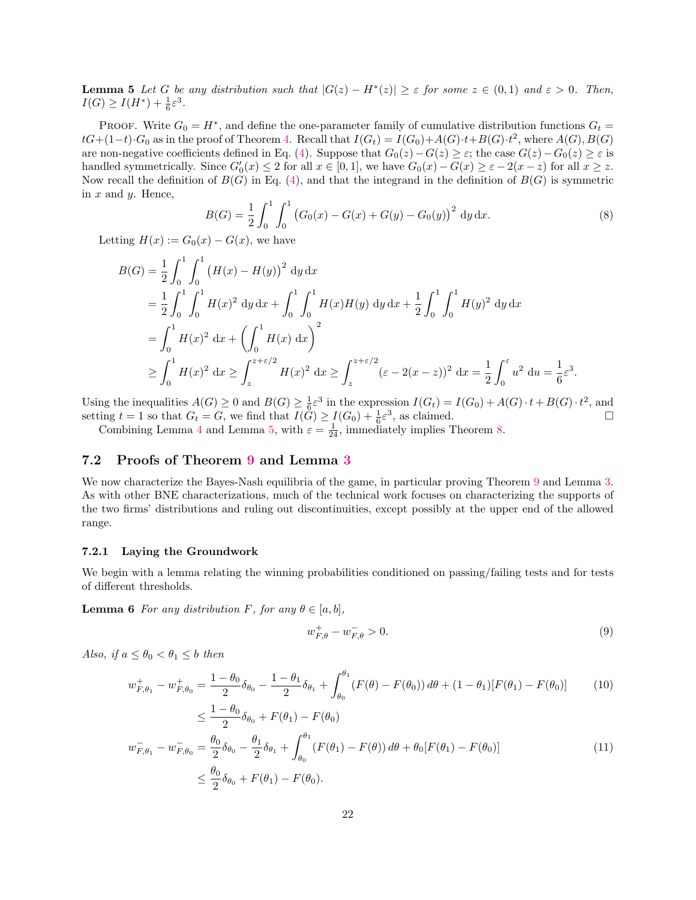**Lemma 5** Let G be any distribution such that  $|G(z) - H^*(z)| \geq \varepsilon$  for some  $z \in (0,1)$  and  $\varepsilon > 0$ . Then,  $I(G) \geq I(H^*) + \frac{1}{6}\varepsilon^3$ .

PROOF. Write  $G_0 = H^*$ , and define the one-parameter family of cumulative distribution functions  $G_t =$  $tG+(1-t)\cdot G_0$  as in the proof of Theorem [4.](#page-12-1) Recall that  $I(G_t) = I(G_0)+A(G)\cdot t+B(G)\cdot t^2$ , where  $A(G), B(G)$ are non-negative coefficients defined in Eq. [\(4\)](#page-13-0). Suppose that  $G_0(z) - G(z) \geq \varepsilon$ ; the case  $G(z) - G_0(z) \geq \varepsilon$  is handled symmetrically. Since  $G_0'(x) \leq 2$  for all  $x \in [0, 1]$ , we have  $G_0(x) - G(x) \geq \varepsilon - 2(x - z)$  for all  $x \geq z$ . Now recall the definition of  $B(G)$  in Eq. [\(4\)](#page-13-0), and that the integrand in the definition of  $B(G)$  is symmetric in  $x$  and  $y$ . Hence,

$$
B(G) = \frac{1}{2} \int_0^1 \int_0^1 (G_0(x) - G(x) + G(y) - G_0(y))^2 \, dy \, dx. \tag{8}
$$

Letting  $H(x) := G_0(x) - G(x)$ , we have

$$
B(G) = \frac{1}{2} \int_0^1 \int_0^1 (H(x) - H(y))^2 \, dy \, dx
$$
  
=  $\frac{1}{2} \int_0^1 \int_0^1 H(x)^2 \, dy \, dx + \int_0^1 \int_0^1 H(x) H(y) \, dy \, dx + \frac{1}{2} \int_0^1 \int_0^1 H(y)^2 \, dy \, dx$   
=  $\int_0^1 H(x)^2 \, dx + \left( \int_0^1 H(x) \, dx \right)^2$   
 $\ge \int_0^1 H(x)^2 \, dx \ge \int_z^{z + \varepsilon/2} H(x)^2 \, dx \ge \int_z^{z + \varepsilon/2} (\varepsilon - 2(x - z))^2 \, dx = \frac{1}{2} \int_0^{\varepsilon} u^2 \, du = \frac{1}{6} \varepsilon^3.$ 

Using the inequalities  $A(G) \geq 0$  and  $B(G) \geq \frac{1}{6} \varepsilon^3$  in the expression  $I(G_t) = I(G_0) + A(G) \cdot t + B(G) \cdot t^2$ , and setting  $t = 1$  so that  $G_t = G$ , we find that  $I(G) \ge I(G_0) + \frac{1}{6}\varepsilon^3$ , as claimed.

Combining Lemma [4](#page-20-1) and Lemma [5,](#page-20-2) with  $\varepsilon = \frac{1}{24}$ , immediately implies Theorem [8.](#page-19-2)

### <span id="page-21-0"></span>7.2 Proofs of Theorem [9](#page-19-4) and Lemma [3](#page-17-0)

We now characterize the Bayes-Nash equilibria of the game, in particular proving Theorem [9](#page-19-4) and Lemma [3.](#page-17-0) As with other BNE characterizations, much of the technical work focuses on characterizing the supports of the two firms' distributions and ruling out discontinuities, except possibly at the upper end of the allowed range.

#### 7.2.1 Laying the Groundwork

We begin with a lemma relating the winning probabilities conditioned on passing/failing tests and for tests of different thresholds.

<span id="page-21-4"></span>**Lemma 6** For any distribution F, for any  $\theta \in [a, b]$ ,

<span id="page-21-3"></span><span id="page-21-2"></span><span id="page-21-1"></span>
$$
w_{F,\theta}^+ - w_{F,\theta}^- > 0. \tag{9}
$$

Also, if  $a \leq \theta_0 \leq \theta_1 \leq b$  then

$$
w_{F,\theta_1}^+ - w_{F,\theta_0}^+ = \frac{1 - \theta_0}{2} \delta_{\theta_0} - \frac{1 - \theta_1}{2} \delta_{\theta_1} + \int_{\theta_0}^{\theta_1} (F(\theta) - F(\theta_0)) d\theta + (1 - \theta_1) [F(\theta_1) - F(\theta_0)] \tag{10}
$$

$$
\leq \frac{1-\sigma_0}{2}\delta_{\theta_0} + F(\theta_1) - F(\theta_0)
$$
  

$$
w_{F,\theta_1}^--w_{F,\theta_0}^- = \frac{\theta_0}{2}\delta_{\theta_0} - \frac{\theta_1}{2}\delta_{\theta_1} + \int_{\theta_0}^{\theta_1} (F(\theta_1) - F(\theta)) d\theta + \theta_0 [F(\theta_1) - F(\theta_0)]
$$
  

$$
\leq \frac{\theta_0}{2}\delta_{\theta_0} + F(\theta_1) - F(\theta_0).
$$
 (11)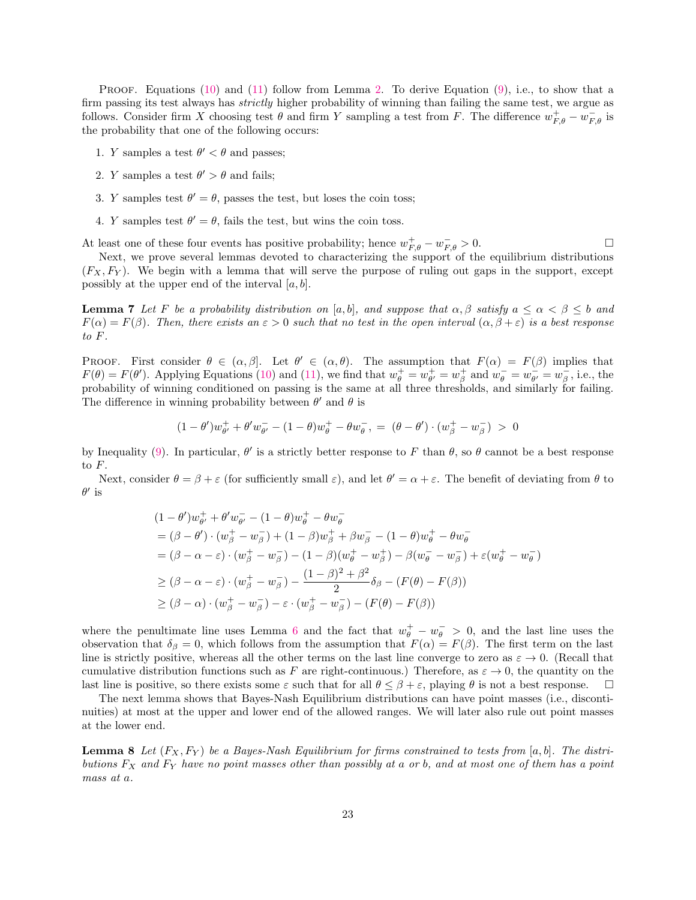PROOF. Equations [\(10\)](#page-21-1) and [\(11\)](#page-21-2) follow from Lemma [2.](#page-16-2) To derive Equation [\(9\)](#page-21-3), i.e., to show that a firm passing its test always has strictly higher probability of winning than failing the same test, we argue as follows. Consider firm X choosing test  $\theta$  and firm Y sampling a test from F. The difference  $w_{F,\theta}^+ - w_{F,\theta}^-$  is the probability that one of the following occurs:

- 1. *Y* samples a test  $\theta' < \theta$  and passes;
- 2. *Y* samples a test  $\theta' > \theta$  and fails;
- 3. Y samples test  $\theta' = \theta$ , passes the test, but loses the coin toss;
- 4. Y samples test  $\theta' = \theta$ , fails the test, but wins the coin toss.

At least one of these four events has positive probability; hence  $w_{F,\theta}^+ - w_{F,\theta}^- > 0$ .

Next, we prove several lemmas devoted to characterizing the support of the equilibrium distributions  $(F_X, F_Y)$ . We begin with a lemma that will serve the purpose of ruling out gaps in the support, except possibly at the upper end of the interval  $[a, b]$ .

<span id="page-22-0"></span>**Lemma 7** Let F be a probability distribution on [a, b], and suppose that  $\alpha, \beta$  satisfy  $a \leq \alpha < \beta \leq b$  and  $F(\alpha) = F(\beta)$ . Then, there exists an  $\varepsilon > 0$  such that no test in the open interval  $(\alpha, \beta + \varepsilon)$  is a best response to F.

PROOF. First consider  $\theta \in (\alpha, \beta]$ . Let  $\theta' \in (\alpha, \theta)$ . The assumption that  $F(\alpha) = F(\beta)$  implies that  $F(\theta) = F(\theta')$ . Applying Equations [\(10\)](#page-21-1) and [\(11\)](#page-21-2), we find that  $w_{\theta}^{+} = w_{\theta'}^{+} = w_{\beta}^{+}$  and  $w_{\theta}^{-} = w_{\theta'}^{-} = w_{\beta}^{-}$ , i.e., the probability of winning conditioned on passing is the same at all three thresholds, and similarly for failing. The difference in winning probability between  $\theta'$  and  $\theta$  is

$$
(1 - \theta')w_{\theta'}^+ + \theta'w_{\theta'}^- - (1 - \theta)w_{\theta}^+ - \theta w_{\theta}^- = (\theta - \theta') \cdot (w_{\beta}^+ - w_{\beta}^-) > 0
$$

by Inequality [\(9\)](#page-21-3). In particular,  $\theta'$  is a strictly better response to F than  $\theta$ , so  $\theta$  cannot be a best response to F.

Next, consider  $\theta = \beta + \varepsilon$  (for sufficiently small  $\varepsilon$ ), and let  $\theta' = \alpha + \varepsilon$ . The benefit of deviating from  $\theta$  to  $\theta'$  is

$$
(1 - \theta')w_{\theta'}^+ + \theta' w_{\theta'}^- - (1 - \theta)w_{\theta}^+ - \theta w_{\theta}^-
$$
  
\n
$$
= (\beta - \theta') \cdot (w_{\beta}^+ - w_{\beta}^-) + (1 - \beta)w_{\beta}^+ + \beta w_{\beta}^- - (1 - \theta)w_{\theta}^+ - \theta w_{\theta}^-
$$
  
\n
$$
= (\beta - \alpha - \varepsilon) \cdot (w_{\beta}^+ - w_{\beta}^-) - (1 - \beta)(w_{\theta}^+ - w_{\beta}^+) - \beta(w_{\theta}^- - w_{\beta}^-) + \varepsilon(w_{\theta}^+ - w_{\theta}^-)
$$
  
\n
$$
\geq (\beta - \alpha - \varepsilon) \cdot (w_{\beta}^+ - w_{\beta}^-) - \frac{(1 - \beta)^2 + \beta^2}{2} \delta_{\beta} - (F(\theta) - F(\beta))
$$
  
\n
$$
\geq (\beta - \alpha) \cdot (w_{\beta}^+ - w_{\beta}^-) - \varepsilon \cdot (w_{\beta}^+ - w_{\beta}^-) - (F(\theta) - F(\beta))
$$

where the penultimate line uses Lemma [6](#page-21-4) and the fact that  $w_{\theta}^+ - w_{\theta}^- > 0$ , and the last line uses the observation that  $\delta_{\beta} = 0$ , which follows from the assumption that  $F(\alpha) = F(\beta)$ . The first term on the last line is strictly positive, whereas all the other terms on the last line converge to zero as  $\varepsilon \to 0$ . (Recall that cumulative distribution functions such as F are right-continuous.) Therefore, as  $\varepsilon \to 0$ , the quantity on the last line is positive, so there exists some  $\varepsilon$  such that for all  $\theta \leq \beta + \varepsilon$ , playing  $\theta$  is not a best response.

The next lemma shows that Bayes-Nash Equilibrium distributions can have point masses (i.e., discontinuities) at most at the upper and lower end of the allowed ranges. We will later also rule out point masses at the lower end.

<span id="page-22-1"></span>**Lemma 8** Let  $(F_X, F_Y)$  be a Bayes-Nash Equilibrium for firms constrained to tests from [a, b]. The distributions  $F_X$  and  $F_Y$  have no point masses other than possibly at a or b, and at most one of them has a point mass at a.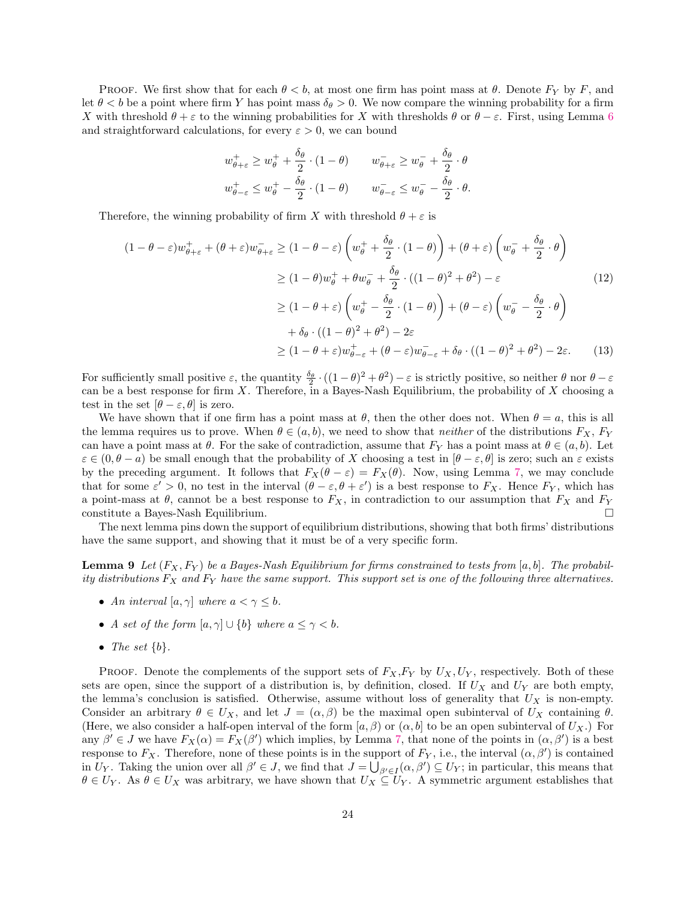**PROOF.** We first show that for each  $\theta < b$ , at most one firm has point mass at  $\theta$ . Denote  $F_Y$  by F, and let  $\theta < b$  be a point where firm Y has point mass  $\delta_{\theta} > 0$ . We now compare the winning probability for a firm X with threshold  $\theta + \varepsilon$  to the winning probabilities for X with thresholds  $\theta$  or  $\theta - \varepsilon$ . First, using Lemma [6](#page-21-4) and straightforward calculations, for every  $\varepsilon > 0$ , we can bound

$$
w_{\theta+\varepsilon}^+ \ge w_{\theta}^+ + \frac{\delta_{\theta}}{2} \cdot (1-\theta) \qquad w_{\theta+\varepsilon}^- \ge w_{\theta}^- + \frac{\delta_{\theta}}{2} \cdot \theta
$$
  

$$
w_{\theta-\varepsilon}^+ \le w_{\theta}^+ - \frac{\delta_{\theta}}{2} \cdot (1-\theta) \qquad w_{\theta-\varepsilon}^- \le w_{\theta}^- - \frac{\delta_{\theta}}{2} \cdot \theta.
$$

Therefore, the winning probability of firm X with threshold  $\theta + \varepsilon$  is

$$
(1 - \theta - \varepsilon) w_{\theta + \varepsilon}^+ + (\theta + \varepsilon) w_{\theta + \varepsilon}^- \ge (1 - \theta - \varepsilon) \left( w_{\theta}^+ + \frac{\delta_{\theta}}{2} \cdot (1 - \theta) \right) + (\theta + \varepsilon) \left( w_{\theta}^- + \frac{\delta_{\theta}}{2} \cdot \theta \right)
$$
  
\n
$$
\ge (1 - \theta) w_{\theta}^+ + \theta w_{\theta}^- + \frac{\delta_{\theta}}{2} \cdot ((1 - \theta)^2 + \theta^2) - \varepsilon
$$
  
\n
$$
\ge (1 - \theta + \varepsilon) \left( w_{\theta}^+ - \frac{\delta_{\theta}}{2} \cdot (1 - \theta) \right) + (\theta - \varepsilon) \left( w_{\theta}^- - \frac{\delta_{\theta}}{2} \cdot \theta \right)
$$
  
\n
$$
+ \delta_{\theta} \cdot ((1 - \theta)^2 + \theta^2) - 2\varepsilon
$$
  
\n
$$
\ge (1 - \theta + \varepsilon) w_{\theta - \varepsilon}^+ + (\theta - \varepsilon) w_{\theta - \varepsilon}^- + \delta_{\theta} \cdot ((1 - \theta)^2 + \theta^2) - 2\varepsilon.
$$
 (13)

For sufficiently small positive  $\varepsilon$ , the quantity  $\frac{\delta_{\theta}}{2} \cdot ((1 - \theta)^2 + \theta^2) - \varepsilon$  is strictly positive, so neither  $\theta$  nor  $\theta - \varepsilon$ can be a best response for firm  $X$ . Therefore, in a Bayes-Nash Equilibrium, the probability of  $X$  choosing a test in the set  $[\theta - \varepsilon, \theta]$  is zero.

We have shown that if one firm has a point mass at  $\theta$ , then the other does not. When  $\theta = a$ , this is all the lemma requires us to prove. When  $\theta \in (a, b)$ , we need to show that *neither* of the distributions  $F_X$ ,  $F_Y$ can have a point mass at  $\theta$ . For the sake of contradiction, assume that  $F_Y$  has a point mass at  $\theta \in (a, b)$ . Let  $\varepsilon \in (0, \theta - a)$  be small enough that the probability of X choosing a test in  $[\theta - \varepsilon, \theta]$  is zero; such an  $\varepsilon$  exists by the preceding argument. It follows that  $F_X(\theta - \varepsilon) = F_X(\theta)$ . Now, using Lemma [7,](#page-22-0) we may conclude that for some  $\varepsilon' > 0$ , no test in the interval  $(\theta - \varepsilon, \theta + \varepsilon')$  is a best response to  $F_X$ . Hence  $F_Y$ , which has a point-mass at  $\theta$ , cannot be a best response to  $F_X$ , in contradiction to our assumption that  $F_X$  and  $F_Y$ constitute a Bayes-Nash Equilibrium.

The next lemma pins down the support of equilibrium distributions, showing that both firms' distributions have the same support, and showing that it must be of a very specific form.

<span id="page-23-0"></span>**Lemma 9** Let  $(F_X, F_Y)$  be a Bayes-Nash Equilibrium for firms constrained to tests from [a, b]. The probability distributions  $F_X$  and  $F_Y$  have the same support. This support set is one of the following three alternatives.

- An interval  $[a, \gamma]$  where  $a < \gamma \leq b$ .
- A set of the form  $[a, \gamma] \cup \{b\}$  where  $a \leq \gamma < b$ .
- The set  $\{b\}$ .

PROOF. Denote the complements of the support sets of  $F_X, F_Y$  by  $U_X, U_Y$ , respectively. Both of these sets are open, since the support of a distribution is, by definition, closed. If  $U_X$  and  $U_Y$  are both empty, the lemma's conclusion is satisfied. Otherwise, assume without loss of generality that  $U_X$  is non-empty. Consider an arbitrary  $\theta \in U_X$ , and let  $J = (\alpha, \beta)$  be the maximal open subinterval of  $U_X$  containing  $\theta$ . (Here, we also consider a half-open interval of the form  $[a, \beta)$  or  $(\alpha, b]$  to be an open subinterval of  $U_X$ .) For any  $\beta' \in J$  we have  $F_X(\alpha) = F_X(\beta')$  which implies, by Lemma [7,](#page-22-0) that none of the points in  $(\alpha, \beta')$  is a best response to  $F_X$ . Therefore, none of these points is in the support of  $F_Y$ , i.e., the interval  $(\alpha, \beta')$  is contained in  $U_Y$ . Taking the union over all  $\beta' \in J$ , we find that  $J = \bigcup_{\beta' \in I} (\alpha, \beta') \subseteq U_Y$ ; in particular, this means that  $\theta \in U_Y$ . As  $\theta \in U_X$  was arbitrary, we have shown that  $U_X \subseteq U_Y$ . A symmetric argument establishes that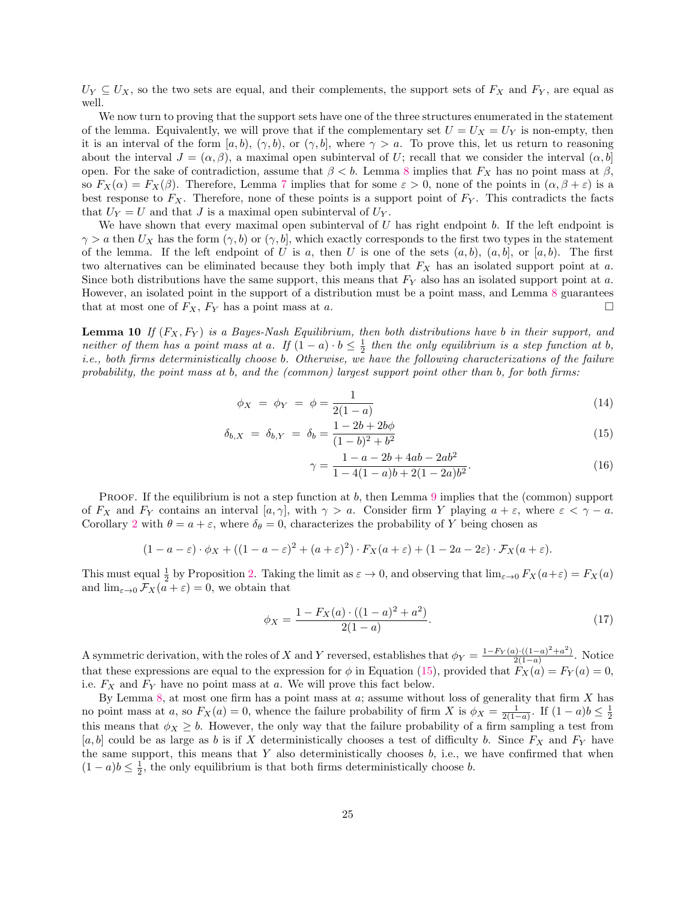$U_Y \subseteq U_X$ , so the two sets are equal, and their complements, the support sets of  $F_X$  and  $F_Y$ , are equal as well.

We now turn to proving that the support sets have one of the three structures enumerated in the statement of the lemma. Equivalently, we will prove that if the complementary set  $U = U_X = U_Y$  is non-empty, then it is an interval of the form [a, b),  $(\gamma, b)$ , or  $(\gamma, b)$ , where  $\gamma > a$ . To prove this, let us return to reasoning about the interval  $J = (\alpha, \beta)$ , a maximal open subinterval of U; recall that we consider the interval  $(\alpha, b]$ open. For the sake of contradiction, assume that  $\beta < b$ . Lemma [8](#page-22-1) implies that  $F_X$  has no point mass at  $\beta$ , so  $F_X(\alpha) = F_X(\beta)$ . Therefore, Lemma [7](#page-22-0) implies that for some  $\varepsilon > 0$ , none of the points in  $(\alpha, \beta + \varepsilon)$  is a best response to  $F_X$ . Therefore, none of these points is a support point of  $F_Y$ . This contradicts the facts that  $U_Y = U$  and that J is a maximal open subinterval of  $U_Y$ .

We have shown that every maximal open subinterval of  $U$  has right endpoint  $b$ . If the left endpoint is  $\gamma > a$  then  $U_X$  has the form  $(\gamma, b)$  or  $(\gamma, b]$ , which exactly corresponds to the first two types in the statement of the lemma. If the left endpoint of U is a, then U is one of the sets  $(a, b)$ ,  $(a, b]$ , or  $[a, b)$ . The first two alternatives can be eliminated because they both imply that  $F_X$  has an isolated support point at a. Since both distributions have the same support, this means that  $F_Y$  also has an isolated support point at a. However, an isolated point in the support of a distribution must be a point mass, and Lemma [8](#page-22-1) guarantees that at most one of  $F_X$ ,  $F_Y$  has a point mass at a.

<span id="page-24-2"></span>**Lemma 10** If  $(F_X, F_Y)$  is a Bayes-Nash Equilibrium, then both distributions have b in their support, and neither of them has a point mass at a. If  $(1 - a) \cdot b \leq \frac{1}{2}$  then the only equilibrium is a step function at b, i.e., both firms deterministically choose b. Otherwise, we have the following characterizations of the failure probability, the point mass at b, and the (common) largest support point other than b, for both firms:

$$
\phi_X = \phi_Y = \phi = \frac{1}{2(1-a)}\tag{14}
$$

$$
\delta_{b,X} = \delta_{b,Y} = \delta_b = \frac{1 - 2b + 2b\phi}{(1 - b)^2 + b^2} \tag{15}
$$

<span id="page-24-1"></span><span id="page-24-0"></span>
$$
\gamma = \frac{1 - a - 2b + 4ab - 2ab^2}{1 - 4(1 - a)b + 2(1 - 2a)b^2}.
$$
\n(16)

PROOF. If the equilibrium is not a step function at b, then Lemma [9](#page-23-0) implies that the (common) support of  $F_X$  and  $F_Y$  contains an interval  $[a, \gamma]$ , with  $\gamma > a$ . Consider firm Y playing  $a + \varepsilon$ , where  $\varepsilon < \gamma - a$ . Corollary [2](#page-16-0) with  $\theta = a + \varepsilon$ , where  $\delta_{\theta} = 0$ , characterizes the probability of Y being chosen as

$$
(1-a-\varepsilon)\cdot\phi_X+((1-a-\varepsilon)^2+(a+\varepsilon)^2)\cdot F_X(a+\varepsilon)+(1-2a-2\varepsilon)\cdot\mathcal{F}_X(a+\varepsilon).
$$

This must equal  $\frac{1}{2}$  by Proposition [2.](#page-16-1) Taking the limit as  $\varepsilon \to 0$ , and observing that  $\lim_{\varepsilon \to 0} F_X(a+\varepsilon) = F_X(a)$ and  $\lim_{\varepsilon \to 0} \mathcal{F}_X(a + \varepsilon) = 0$ , we obtain that

$$
\phi_X = \frac{1 - F_X(a) \cdot ((1 - a)^2 + a^2)}{2(1 - a)}.\tag{17}
$$

A symmetric derivation, with the roles of X and Y reversed, establishes that  $\phi_Y = \frac{1-F_Y(a) \cdot ((1-a)^2 + a^2)}{2(1-a)}$  $\frac{2(1-a)+a}{2(1-a)}$ . Notice that these expressions are equal to the expression for  $\phi$  in Equation [\(15\)](#page-24-0), provided that  $F_X(a) = F_Y(a) = 0$ , i.e.  $F_X$  and  $F_Y$  have no point mass at a. We will prove this fact below.

By Lemma [8,](#page-22-1) at most one firm has a point mass at  $a$ ; assume without loss of generality that firm  $X$  has no point mass at a, so  $F_X(a) = 0$ , whence the failure probability of firm X is  $\phi_X = \frac{1}{2(1-a)}$ . If  $(1-a)b \leq \frac{1}{2}$ this means that  $\phi_X \geq b$ . However, the only way that the failure probability of a firm sampling a test from [a, b] could be as large as b is if X deterministically chooses a test of difficulty b. Since  $F_X$  and  $F_Y$  have the same support, this means that  $Y$  also deterministically chooses  $b$ , i.e., we have confirmed that when  $(1 - a)b \leq \frac{1}{2}$ , the only equilibrium is that both firms deterministically choose b.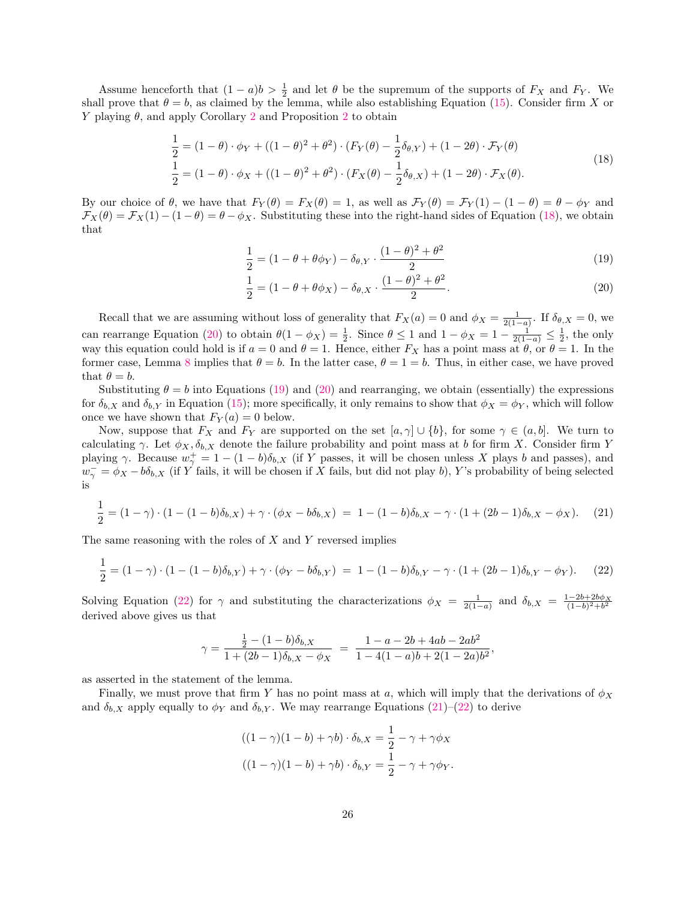Assume henceforth that  $(1 - a)b > \frac{1}{2}$  and let  $\theta$  be the supremum of the supports of  $F_X$  and  $F_Y$ . We shall prove that  $\theta = b$ , as claimed by the lemma, while also establishing Equation [\(15\)](#page-24-0). Consider firm X or Y playing  $\theta$ , and apply Corollary [2](#page-16-1) and Proposition 2 to obtain

$$
\frac{1}{2} = (1 - \theta) \cdot \phi_Y + ((1 - \theta)^2 + \theta^2) \cdot (F_Y(\theta) - \frac{1}{2}\delta_{\theta,Y}) + (1 - 2\theta) \cdot \mathcal{F}_Y(\theta)
$$
\n
$$
\frac{1}{2} = (1 - \theta) \cdot \phi_X + ((1 - \theta)^2 + \theta^2) \cdot (F_X(\theta) - \frac{1}{2}\delta_{\theta,X}) + (1 - 2\theta) \cdot \mathcal{F}_X(\theta).
$$
\n(18)

By our choice of  $\theta$ , we have that  $F_Y(\theta) = F_X(\theta) = 1$ , as well as  $\mathcal{F}_Y(\theta) = \mathcal{F}_Y(1) - (1 - \theta) = \theta - \phi_Y$  and  $\mathcal{F}_X(\theta) = \mathcal{F}_X(1) - (1 - \theta) = \theta - \phi_X$ . Substituting these into the right-hand sides of Equation [\(18\)](#page-25-0), we obtain that

<span id="page-25-2"></span><span id="page-25-0"></span>
$$
\frac{1}{2} = (1 - \theta + \theta \phi_Y) - \delta_{\theta, Y} \cdot \frac{(1 - \theta)^2 + \theta^2}{2} \tag{19}
$$

<span id="page-25-4"></span><span id="page-25-1"></span>
$$
\frac{1}{2} = (1 - \theta + \theta \phi_X) - \delta_{\theta, X} \cdot \frac{(1 - \theta)^2 + \theta^2}{2}.
$$
\n(20)

Recall that we are assuming without loss of generality that  $F_X(a) = 0$  and  $\phi_X = \frac{1}{2(1-a)}$ . If  $\delta_{\theta,X} = 0$ , we can rearrange Equation [\(20\)](#page-25-1) to obtain  $\theta(1-\phi_X) = \frac{1}{2}$ . Since  $\theta \le 1$  and  $1-\phi_X = 1 - \frac{1}{2(1-a)} \le \frac{1}{2}$ , the only way this equation could hold is if  $a = 0$  and  $\theta = 1$ . Hence, either  $F_X$  has a point mass at  $\theta$ , or  $\theta = 1$ . In the former case, Lemma [8](#page-22-1) implies that  $\theta = b$ . In the latter case,  $\theta = 1 = b$ . Thus, in either case, we have proved that  $\theta = b$ .

Substituting  $\theta = b$  into Equations [\(19\)](#page-25-2) and [\(20\)](#page-25-1) and rearranging, we obtain (essentially) the expressions for  $\delta_{b,X}$  and  $\delta_{b,Y}$  in Equation [\(15\)](#page-24-0); more specifically, it only remains to show that  $\phi_X = \phi_Y$ , which will follow once we have shown that  $F_Y(a) = 0$  below.

Now, suppose that  $F_X$  and  $F_Y$  are supported on the set  $[a, \gamma] \cup \{b\}$ , for some  $\gamma \in (a, b]$ . We turn to calculating  $\gamma$ . Let  $\phi_X, \delta_{b,X}$  denote the failure probability and point mass at b for firm X. Consider firm Y playing  $\gamma$ . Because  $w_{\gamma}^+ = 1 - (1 - b)\delta_{b,X}$  (if Y passes, it will be chosen unless X plays b and passes), and  $w_{\gamma}^{-} = \phi_{X} - b\delta_{b,X}$  (if Y fails, it will be chosen if X fails, but did not play b), Y's probability of being selected is

$$
\frac{1}{2} = (1 - \gamma) \cdot (1 - (1 - b)\delta_{b,X}) + \gamma \cdot (\phi_X - b\delta_{b,X}) = 1 - (1 - b)\delta_{b,X} - \gamma \cdot (1 + (2b - 1)\delta_{b,X} - \phi_X). \tag{21}
$$

The same reasoning with the roles of  $X$  and  $Y$  reversed implies

$$
\frac{1}{2} = (1 - \gamma) \cdot (1 - (1 - b)\delta_{b,Y}) + \gamma \cdot (\phi_Y - b\delta_{b,Y}) = 1 - (1 - b)\delta_{b,Y} - \gamma \cdot (1 + (2b - 1)\delta_{b,Y} - \phi_Y). \tag{22}
$$

Solving Equation [\(22\)](#page-25-3) for  $\gamma$  and substituting the characterizations  $\phi_X = \frac{1}{2(1-a)}$  and  $\delta_{b,X} = \frac{1-2b+2b\phi_X}{(1-b)^2+b^2}$ derived above gives us that

$$
\gamma=\frac{\frac{1}{2}-(1-b)\delta_{b,X}}{1+(2b-1)\delta_{b,X}-\phi_X}~=~\frac{1-a-2b+4ab-2ab^2}{1-4(1-a)b+2(1-2a)b^2},
$$

as asserted in the statement of the lemma.

Finally, we must prove that firm Y has no point mass at a, which will imply that the derivations of  $\phi_X$ and  $\delta_{b,X}$  apply equally to  $\phi_Y$  and  $\delta_{b,Y}$ . We may rearrange Equations [\(21\)](#page-25-4)–[\(22\)](#page-25-3) to derive

<span id="page-25-3"></span>
$$
((1 - \gamma)(1 - b) + \gamma b) \cdot \delta_{b,X} = \frac{1}{2} - \gamma + \gamma \phi_X
$$

$$
((1 - \gamma)(1 - b) + \gamma b) \cdot \delta_{b,Y} = \frac{1}{2} - \gamma + \gamma \phi_Y.
$$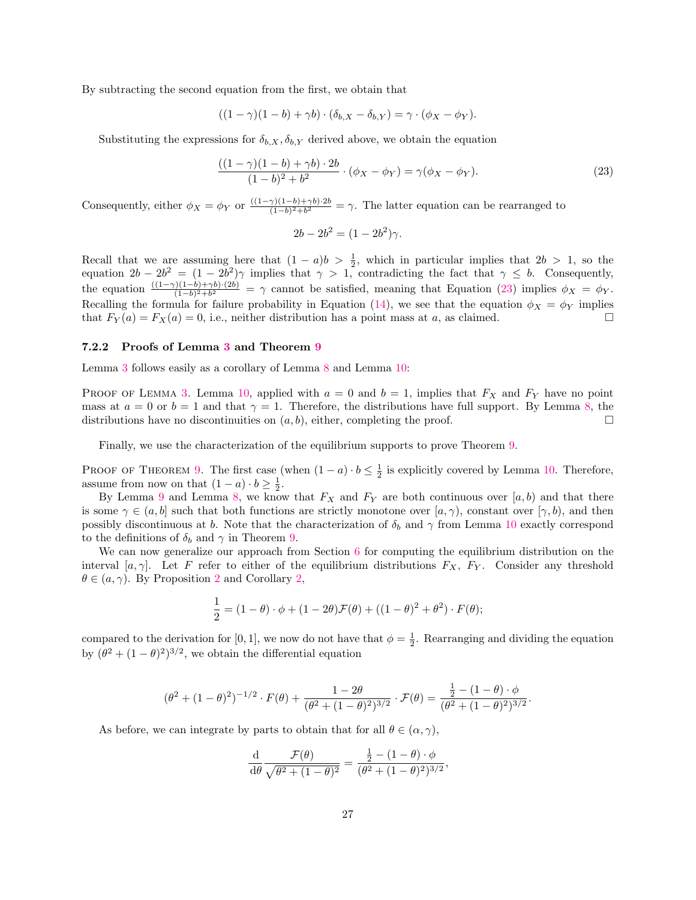By subtracting the second equation from the first, we obtain that

$$
((1 - \gamma)(1 - b) + \gamma b) \cdot (\delta_{b,X} - \delta_{b,Y}) = \gamma \cdot (\phi_X - \phi_Y).
$$

Substituting the expressions for  $\delta_{b,X}, \delta_{b,Y}$  derived above, we obtain the equation

$$
\frac{((1-\gamma)(1-b)+\gamma b)\cdot 2b}{(1-b)^2+b^2}\cdot (\phi_X - \phi_Y) = \gamma(\phi_X - \phi_Y). \tag{23}
$$

Consequently, either  $\phi_X = \phi_Y$  or  $\frac{((1-\gamma)(1-b)+\gamma b)\cdot 2b}{(1-b)^2+b^2}$  $\frac{\gamma(1-b)+\gamma_0\gamma_2b}{(1-b)^2+b^2} = \gamma$ . The latter equation can be rearranged to

<span id="page-26-0"></span>
$$
2b - 2b^2 = (1 - 2b^2)\gamma.
$$

Recall that we are assuming here that  $(1 - a)b > \frac{1}{2}$ , which in particular implies that  $2b > 1$ , so the equation  $2b - 2b^2 = (1 - 2b^2)\gamma$  implies that  $\gamma > 1$ , contradicting the fact that  $\gamma \leq b$ . Consequently, the equation  $\frac{((1-\gamma)(1-b)+\gamma b)\cdot(2b)}{(1-b)^2+b^2} = \gamma$  cannot be satisfied, meaning that Equation [\(23\)](#page-26-0) implies  $\phi_X = \phi_Y$ . Recalling the formula for failure probability in Equation [\(14\)](#page-24-1), we see that the equation  $\phi_X = \phi_Y$  implies that  $F_Y(a) = F_X(a) = 0$ , i.e., neither distribution has a point mass at a, as claimed.

#### 7.2.2 Proofs of Lemma [3](#page-17-0) and Theorem [9](#page-19-4)

Lemma [3](#page-17-0) follows easily as a corollary of Lemma [8](#page-22-1) and Lemma [10:](#page-24-2)

PROOF OF LEMMA [3.](#page-17-0) Lemma [10,](#page-24-2) applied with  $a = 0$  and  $b = 1$ , implies that  $F_X$  and  $F_Y$  have no point mass at  $a = 0$  or  $b = 1$  and that  $\gamma = 1$ . Therefore, the distributions have full support. By Lemma [8,](#page-22-1) the distributions have no discontinuities on  $(a, b)$ , either, completing the proof.

Finally, we use the characterization of the equilibrium supports to prove Theorem [9.](#page-19-4)

PROOF OF THEOREM [9.](#page-19-4) The first case (when  $(1-a) \cdot b \leq \frac{1}{2}$  is explicitly covered by Lemma [10.](#page-24-2) Therefore, assume from now on that  $(1 - a) \cdot b \geq \frac{1}{2}$ .

By Lemma [9](#page-23-0) and Lemma [8,](#page-22-1) we know that  $F_X$  and  $F_Y$  are both continuous over  $[a, b]$  and that there is some  $\gamma \in (a, b]$  such that both functions are strictly monotone over  $[a, \gamma)$ , constant over  $[\gamma, b)$ , and then possibly discontinuous at b. Note that the characterization of  $\delta_b$  and  $\gamma$  from Lemma [10](#page-24-2) exactly correspond to the definitions of  $\delta_b$  and  $\gamma$  in Theorem [9.](#page-19-4)

We can now generalize our approach from Section [6](#page-15-0) for computing the equilibrium distribution on the interval [a,  $\gamma$ ]. Let F refer to either of the equilibrium distributions  $F_X$ ,  $F_Y$ . Consider any threshold  $\theta \in (a, \gamma)$ . By Proposition [2](#page-16-1) and Corollary [2,](#page-16-0)

$$
\frac{1}{2} = (1 - \theta) \cdot \phi + (1 - 2\theta)\mathcal{F}(\theta) + ((1 - \theta)^2 + \theta^2) \cdot F(\theta);
$$

compared to the derivation for [0, 1], we now do not have that  $\phi = \frac{1}{2}$ . Rearranging and dividing the equation by  $(\theta^2 + (1 - \theta)^2)^{3/2}$ , we obtain the differential equation

$$
(\theta^2 + (1-\theta)^2)^{-1/2} \cdot F(\theta) + \frac{1-2\theta}{(\theta^2 + (1-\theta)^2)^{3/2}} \cdot \mathcal{F}(\theta) = \frac{\frac{1}{2} - (1-\theta) \cdot \phi}{(\theta^2 + (1-\theta)^2)^{3/2}}.
$$

As before, we can integrate by parts to obtain that for all  $\theta \in (\alpha, \gamma)$ ,

$$
\frac{\mathrm{d}}{\mathrm{d}\theta} \frac{\mathcal{F}(\theta)}{\sqrt{\theta^2 + (1 - \theta)^2}} = \frac{\frac{1}{2} - (1 - \theta) \cdot \phi}{(\theta^2 + (1 - \theta)^2)^{3/2}}
$$

,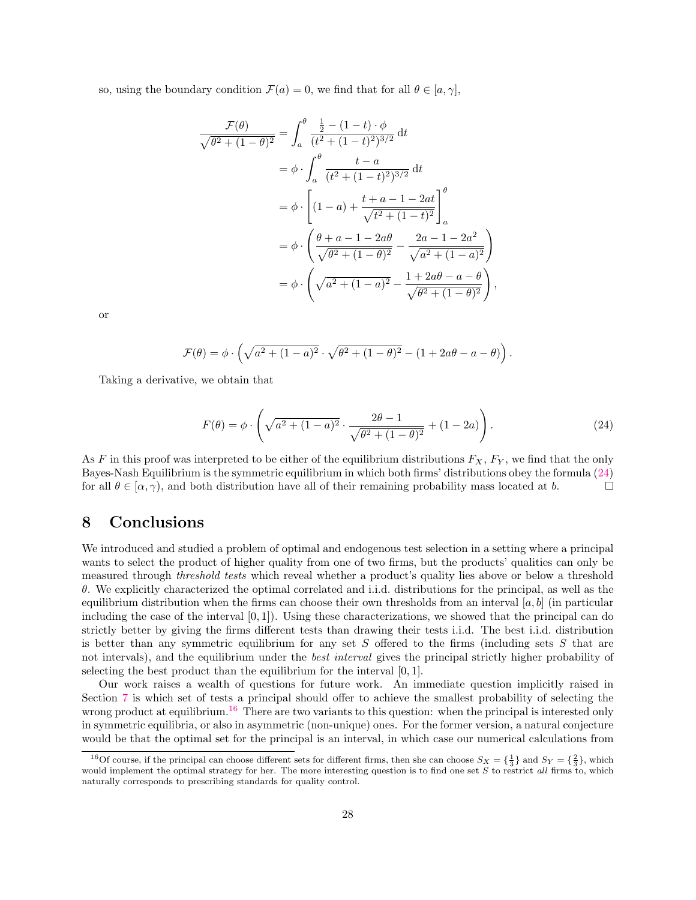so, using the boundary condition  $\mathcal{F}(a) = 0$ , we find that for all  $\theta \in [a, \gamma]$ ,

$$
\frac{\mathcal{F}(\theta)}{\sqrt{\theta^2 + (1 - \theta)^2}} = \int_a^{\theta} \frac{\frac{1}{2} - (1 - t) \cdot \phi}{(t^2 + (1 - t)^2)^{3/2}} dt
$$
  
\n
$$
= \phi \cdot \int_a^{\theta} \frac{t - a}{(t^2 + (1 - t)^2)^{3/2}} dt
$$
  
\n
$$
= \phi \cdot \left[ (1 - a) + \frac{t + a - 1 - 2at}{\sqrt{t^2 + (1 - t)^2}} \right]_a^{\theta}
$$
  
\n
$$
= \phi \cdot \left( \frac{\theta + a - 1 - 2a\theta}{\sqrt{\theta^2 + (1 - \theta)^2}} - \frac{2a - 1 - 2a^2}{\sqrt{a^2 + (1 - a)^2}} \right)
$$
  
\n
$$
= \phi \cdot \left( \sqrt{a^2 + (1 - a)^2} - \frac{1 + 2a\theta - a - \theta}{\sqrt{\theta^2 + (1 - \theta)^2}} \right),
$$

or

$$
\mathcal{F}(\theta) = \phi \cdot \left( \sqrt{a^2 + (1-a)^2} \cdot \sqrt{\theta^2 + (1-\theta)^2} - (1+2a\theta - a - \theta) \right).
$$

Taking a derivative, we obtain that

<span id="page-27-1"></span>
$$
F(\theta) = \phi \cdot \left( \sqrt{a^2 + (1 - a)^2} \cdot \frac{2\theta - 1}{\sqrt{\theta^2 + (1 - \theta)^2}} + (1 - 2a) \right). \tag{24}
$$

As F in this proof was interpreted to be either of the equilibrium distributions  $F_X$ ,  $F_Y$ , we find that the only Bayes-Nash Equilibrium is the symmetric equilibrium in which both firms' distributions obey the formula [\(24\)](#page-27-1) for all  $\theta \in [\alpha, \gamma)$ , and both distribution have all of their remaining probability mass located at b.

### <span id="page-27-0"></span>8 Conclusions

We introduced and studied a problem of optimal and endogenous test selection in a setting where a principal wants to select the product of higher quality from one of two firms, but the products' qualities can only be measured through threshold tests which reveal whether a product's quality lies above or below a threshold θ. We explicitly characterized the optimal correlated and i.i.d. distributions for the principal, as well as the equilibrium distribution when the firms can choose their own thresholds from an interval  $[a, b]$  (in particular including the case of the interval  $[0, 1]$ . Using these characterizations, we showed that the principal can do strictly better by giving the firms different tests than drawing their tests i.i.d. The best i.i.d. distribution is better than any symmetric equilibrium for any set  $S$  offered to the firms (including sets  $S$  that are not intervals), and the equilibrium under the best interval gives the principal strictly higher probability of selecting the best product than the equilibrium for the interval [0, 1].

Our work raises a wealth of questions for future work. An immediate question implicitly raised in Section [7](#page-18-0) is which set of tests a principal should offer to achieve the smallest probability of selecting the wrong product at equilibrium.<sup>[16](#page-27-2)</sup> There are two variants to this question: when the principal is interested only in symmetric equilibria, or also in asymmetric (non-unique) ones. For the former version, a natural conjecture would be that the optimal set for the principal is an interval, in which case our numerical calculations from

<span id="page-27-2"></span><sup>&</sup>lt;sup>16</sup>Of course, if the principal can choose different sets for different firms, then she can choose  $S_X = \{\frac{1}{3}\}\$ and  $S_Y = \{\frac{2}{3}\}\$ , which would implement the optimal strategy for her. The more interesting question is to find one set  $S$  to restrict all firms to, which naturally corresponds to prescribing standards for quality control.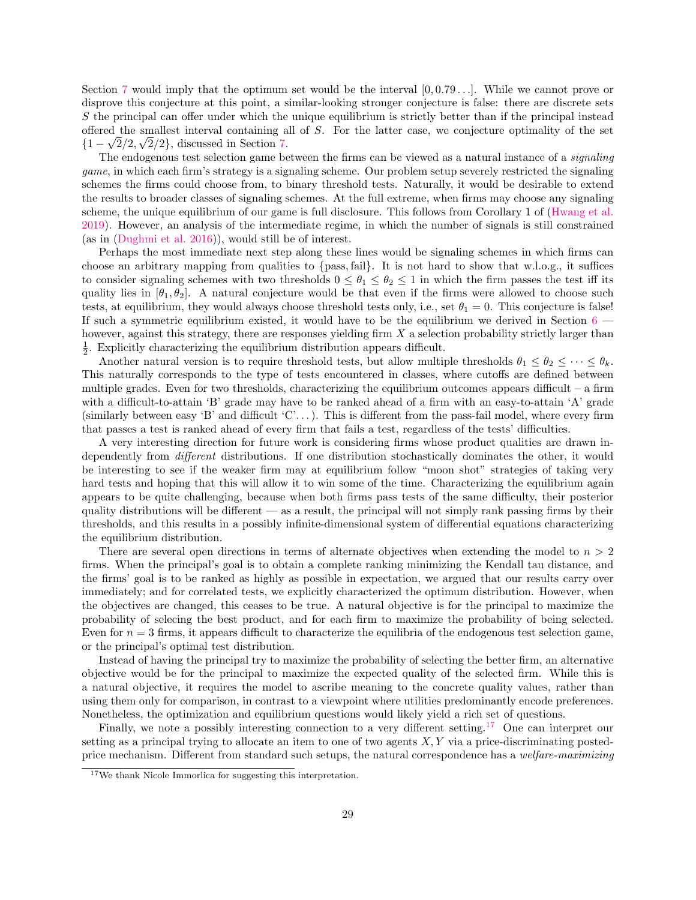Section [7](#page-18-0) would imply that the optimum set would be the interval [0, 0.79 . . .]. While we cannot prove or disprove this conjecture at this point, a similar-looking stronger conjecture is false: there are discrete sets S the principal can offer under which the unique equilibrium is strictly better than if the principal instead offered the smallest interval containing all of S. For the latter case, we conjecture optimality of the set  $\{1-\sqrt{2}/2,\sqrt{2}/2\}$ , discussed in Section [7.](#page-18-0)

The endogenous test selection game between the firms can be viewed as a natural instance of a signaling game, in which each firm's strategy is a signaling scheme. Our problem setup severely restricted the signaling schemes the firms could choose from, to binary threshold tests. Naturally, it would be desirable to extend the results to broader classes of signaling schemes. At the full extreme, when firms may choose any signaling scheme, the unique equilibrium of our game is full disclosure. This follows from Corollary 1 of [\(Hwang et al.](#page-30-0) [2019\)](#page-30-0). However, an analysis of the intermediate regime, in which the number of signals is still constrained (as in [\(Dughmi et al.](#page-30-5) [2016\)](#page-30-5)), would still be of interest.

Perhaps the most immediate next step along these lines would be signaling schemes in which firms can choose an arbitrary mapping from qualities to {pass, fail}. It is not hard to show that w.l.o.g., it suffices to consider signaling schemes with two thresholds  $0 \leq \theta_1 \leq \theta_2 \leq 1$  in which the firm passes the test iff its quality lies in  $[\theta_1, \theta_2]$ . A natural conjecture would be that even if the firms were allowed to choose such tests, at equilibrium, they would always choose threshold tests only, i.e., set  $\theta_1 = 0$ . This conjecture is false! If such a symmetric equilibrium existed, it would have to be the equilibrium we derived in Section  $6 6$ however, against this strategy, there are responses yielding firm X a selection probability strictly larger than  $\frac{1}{2}$ . Explicitly characterizing the equilibrium distribution appears difficult.

Another natural version is to require threshold tests, but allow multiple thresholds  $\theta_1 \leq \theta_2 \leq \cdots \leq \theta_k$ . This naturally corresponds to the type of tests encountered in classes, where cutoffs are defined between multiple grades. Even for two thresholds, characterizing the equilibrium outcomes appears difficult – a firm with a difficult-to-attain 'B' grade may have to be ranked ahead of a firm with an easy-to-attain 'A' grade (similarly between easy 'B' and difficult  $(C'...)$ ). This is different from the pass-fail model, where every firm that passes a test is ranked ahead of every firm that fails a test, regardless of the tests' difficulties.

A very interesting direction for future work is considering firms whose product qualities are drawn independently from *different* distributions. If one distribution stochastically dominates the other, it would be interesting to see if the weaker firm may at equilibrium follow "moon shot" strategies of taking very hard tests and hoping that this will allow it to win some of the time. Characterizing the equilibrium again appears to be quite challenging, because when both firms pass tests of the same difficulty, their posterior quality distributions will be different — as a result, the principal will not simply rank passing firms by their thresholds, and this results in a possibly infinite-dimensional system of differential equations characterizing the equilibrium distribution.

There are several open directions in terms of alternate objectives when extending the model to  $n > 2$ firms. When the principal's goal is to obtain a complete ranking minimizing the Kendall tau distance, and the firms' goal is to be ranked as highly as possible in expectation, we argued that our results carry over immediately; and for correlated tests, we explicitly characterized the optimum distribution. However, when the objectives are changed, this ceases to be true. A natural objective is for the principal to maximize the probability of selecing the best product, and for each firm to maximize the probability of being selected. Even for  $n = 3$  firms, it appears difficult to characterize the equilibria of the endogenous test selection game. or the principal's optimal test distribution.

Instead of having the principal try to maximize the probability of selecting the better firm, an alternative objective would be for the principal to maximize the expected quality of the selected firm. While this is a natural objective, it requires the model to ascribe meaning to the concrete quality values, rather than using them only for comparison, in contrast to a viewpoint where utilities predominantly encode preferences. Nonetheless, the optimization and equilibrium questions would likely yield a rich set of questions.

Finally, we note a possibly interesting connection to a very different setting.<sup>[17](#page-28-0)</sup> One can interpret our setting as a principal trying to allocate an item to one of two agents  $X, Y$  via a price-discriminating postedprice mechanism. Different from standard such setups, the natural correspondence has a welfare-maximizing

<span id="page-28-0"></span><sup>17</sup>We thank Nicole Immorlica for suggesting this interpretation.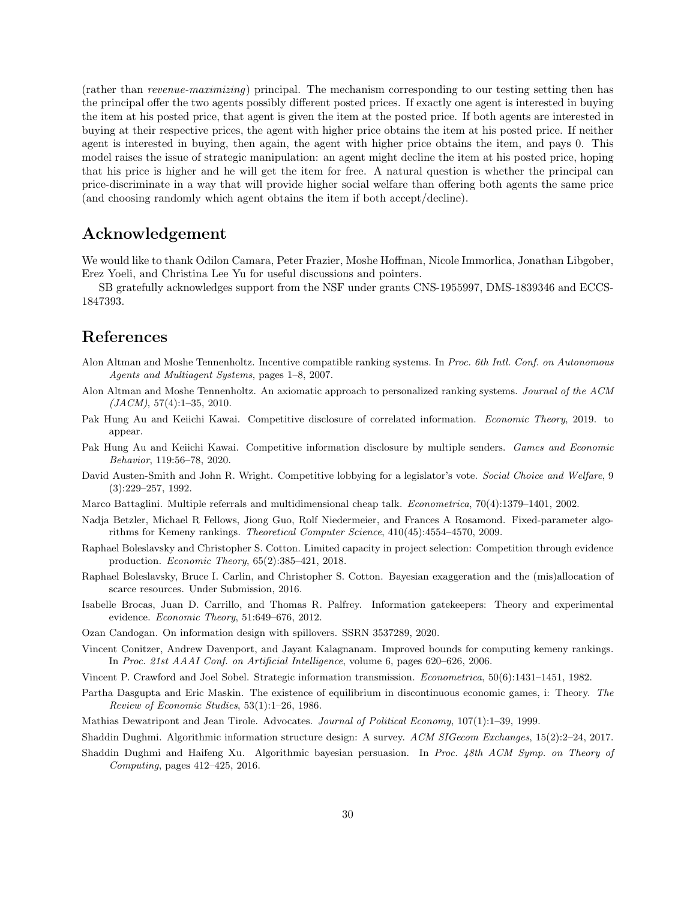(rather than revenue-maximizing) principal. The mechanism corresponding to our testing setting then has the principal offer the two agents possibly different posted prices. If exactly one agent is interested in buying the item at his posted price, that agent is given the item at the posted price. If both agents are interested in buying at their respective prices, the agent with higher price obtains the item at his posted price. If neither agent is interested in buying, then again, the agent with higher price obtains the item, and pays 0. This model raises the issue of strategic manipulation: an agent might decline the item at his posted price, hoping that his price is higher and he will get the item for free. A natural question is whether the principal can price-discriminate in a way that will provide higher social welfare than offering both agents the same price (and choosing randomly which agent obtains the item if both accept/decline).

# Acknowledgement

We would like to thank Odilon Camara, Peter Frazier, Moshe Hoffman, Nicole Immorlica, Jonathan Libgober, Erez Yoeli, and Christina Lee Yu for useful discussions and pointers.

SB gratefully acknowledges support from the NSF under grants CNS-1955997, DMS-1839346 and ECCS-1847393.

# References

- <span id="page-29-14"></span>Alon Altman and Moshe Tennenholtz. Incentive compatible ranking systems. In Proc. 6th Intl. Conf. on Autonomous Agents and Multiagent Systems, pages 1–8, 2007.
- <span id="page-29-15"></span>Alon Altman and Moshe Tennenholtz. An axiomatic approach to personalized ranking systems. Journal of the ACM  $(JACM), 57(4):1-35, 2010.$
- <span id="page-29-0"></span>Pak Hung Au and Keiichi Kawai. Competitive disclosure of correlated information. Economic Theory, 2019. to appear.
- <span id="page-29-1"></span>Pak Hung Au and Keiichi Kawai. Competitive information disclosure by multiple senders. Games and Economic Behavior, 119:56–78, 2020.
- <span id="page-29-9"></span>David Austen-Smith and John R. Wright. Competitive lobbying for a legislator's vote. Social Choice and Welfare, 9 (3):229–257, 1992.
- <span id="page-29-8"></span>Marco Battaglini. Multiple referrals and multidimensional cheap talk. Econometrica, 70(4):1379–1401, 2002.
- <span id="page-29-13"></span>Nadja Betzler, Michael R Fellows, Jiong Guo, Rolf Niedermeier, and Frances A Rosamond. Fixed-parameter algorithms for Kemeny rankings. Theoretical Computer Science, 410(45):4554–4570, 2009.
- <span id="page-29-3"></span>Raphael Boleslavsky and Christopher S. Cotton. Limited capacity in project selection: Competition through evidence production. Economic Theory, 65(2):385–421, 2018.
- <span id="page-29-2"></span>Raphael Boleslavsky, Bruce I. Carlin, and Christopher S. Cotton. Bayesian exaggeration and the (mis)allocation of scarce resources. Under Submission, 2016.
- <span id="page-29-11"></span>Isabelle Brocas, Juan D. Carrillo, and Thomas R. Palfrey. Information gatekeepers: Theory and experimental evidence. Economic Theory, 51:649–676, 2012.
- <span id="page-29-4"></span>Ozan Candogan. On information design with spillovers. SSRN 3537289, 2020.
- <span id="page-29-12"></span>Vincent Conitzer, Andrew Davenport, and Jayant Kalagnanam. Improved bounds for computing kemeny rankings. In Proc. 21st AAAI Conf. on Artificial Intelligence, volume 6, pages 620–626, 2006.
- <span id="page-29-7"></span>Vincent P. Crawford and Joel Sobel. Strategic information transmission. Econometrica, 50(6):1431–1451, 1982.
- <span id="page-29-16"></span>Partha Dasgupta and Eric Maskin. The existence of equilibrium in discontinuous economic games, i: Theory. The Review of Economic Studies, 53(1):1–26, 1986.
- <span id="page-29-10"></span>Mathias Dewatripont and Jean Tirole. Advocates. Journal of Political Economy, 107(1):1–39, 1999.
- <span id="page-29-5"></span>Shaddin Dughmi. Algorithmic information structure design: A survey. ACM SIGecom Exchanges, 15(2):2–24, 2017.
- <span id="page-29-6"></span>Shaddin Dughmi and Haifeng Xu. Algorithmic bayesian persuasion. In Proc. 48th ACM Symp. on Theory of Computing, pages 412–425, 2016.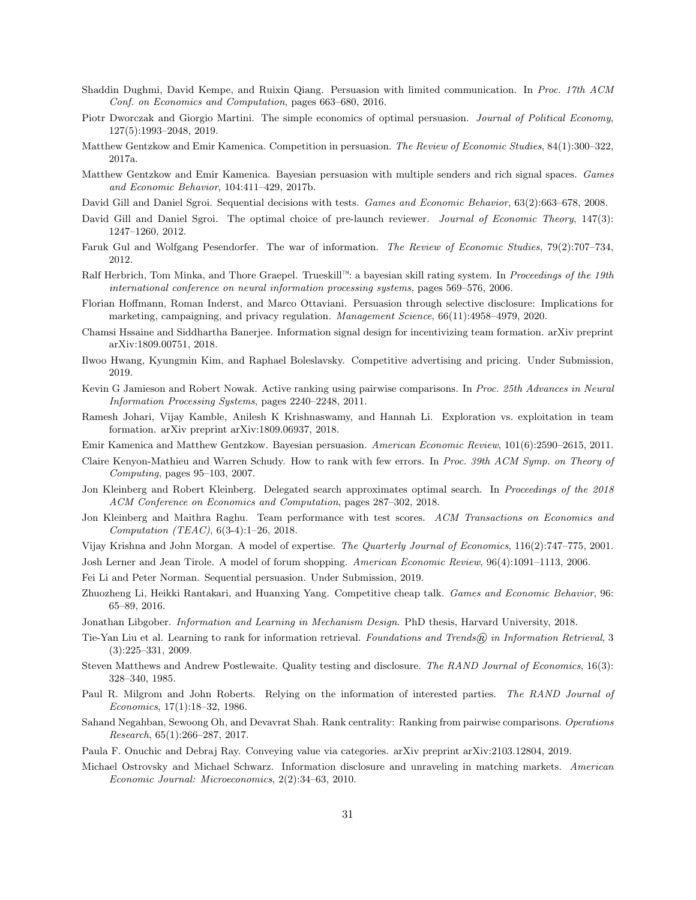- <span id="page-30-5"></span>Shaddin Dughmi, David Kempe, and Ruixin Qiang. Persuasion with limited communication. In Proc. 17th ACM Conf. on Economics and Computation, pages 663–680, 2016.
- <span id="page-30-3"></span>Piotr Dworczak and Giorgio Martini. The simple economics of optimal persuasion. Journal of Political Economy, 127(5):1993–2048, 2019.
- <span id="page-30-14"></span>Matthew Gentzkow and Emir Kamenica. Competition in persuasion. The Review of Economic Studies, 84(1):300–322, 2017a.
- <span id="page-30-15"></span>Matthew Gentzkow and Emir Kamenica. Bayesian persuasion with multiple senders and rich signal spaces. Games and Economic Behavior, 104:411–429, 2017b.
- <span id="page-30-20"></span>David Gill and Daniel Sgroi. Sequential decisions with tests. Games and Economic Behavior, 63(2):663–678, 2008.
- <span id="page-30-6"></span>David Gill and Daniel Sgroi. The optimal choice of pre-launch reviewer. Journal of Economic Theory, 147(3): 1247–1260, 2012.
- <span id="page-30-13"></span>Faruk Gul and Wolfgang Pesendorfer. The war of information. The Review of Economic Studies, 79(2):707–734, 2012.
- <span id="page-30-21"></span>Ralf Herbrich, Tom Minka, and Thore Graepel. Trueskill™: a bayesian skill rating system. In Proceedings of the 19th international conference on neural information processing systems, pages 569–576, 2006.
- <span id="page-30-17"></span>Florian Hoffmann, Roman Inderst, and Marco Ottaviani. Persuasion through selective disclosure: Implications for marketing, campaigning, and privacy regulation. Management Science, 66(11):4958-4979, 2020.
- <span id="page-30-9"></span>Chamsi Hssaine and Siddhartha Banerjee. Information signal design for incentivizing team formation. arXiv preprint arXiv:1809.00751, 2018.
- <span id="page-30-0"></span>Ilwoo Hwang, Kyungmin Kim, and Raphael Boleslavsky. Competitive advertising and pricing. Under Submission, 2019.
- <span id="page-30-23"></span>Kevin G Jamieson and Robert Nowak. Active ranking using pairwise comparisons. In Proc. 25th Advances in Neural Information Processing Systems, pages 2240–2248, 2011.
- <span id="page-30-27"></span>Ramesh Johari, Vijay Kamble, Anilesh K Krishnaswamy, and Hannah Li. Exploration vs. exploitation in team formation. arXiv preprint arXiv:1809.06937, 2018.
- <span id="page-30-8"></span>Emir Kamenica and Matthew Gentzkow. Bayesian persuasion. American Economic Review, 101(6):2590–2615, 2011.
- <span id="page-30-25"></span>Claire Kenyon-Mathieu and Warren Schudy. How to rank with few errors. In Proc. 39th ACM Symp. on Theory of Computing, pages 95–103, 2007.
- <span id="page-30-19"></span>Jon Kleinberg and Robert Kleinberg. Delegated search approximates optimal search. In Proceedings of the 2018 ACM Conference on Economics and Computation, pages 287–302, 2018.
- <span id="page-30-26"></span>Jon Kleinberg and Maithra Raghu. Team performance with test scores. ACM Transactions on Economics and Computation (TEAC), 6(3-4):1–26, 2018.
- <span id="page-30-10"></span>Vijay Krishna and John Morgan. A model of expertise. The Quarterly Journal of Economics, 116(2):747–775, 2001.
- <span id="page-30-1"></span>Josh Lerner and Jean Tirole. A model of forum shopping. American Economic Review, 96(4):1091–1113, 2006.
- <span id="page-30-16"></span>Fei Li and Peter Norman. Sequential persuasion. Under Submission, 2019.
- <span id="page-30-7"></span>Zhuozheng Li, Heikki Rantakari, and Huanxing Yang. Competitive cheap talk. Games and Economic Behavior, 96: 65–89, 2016.
- <span id="page-30-18"></span>Jonathan Libgober. Information and Learning in Mechanism Design. PhD thesis, Harvard University, 2018.
- <span id="page-30-22"></span>Tie-Yan Liu et al. Learning to rank for information retrieval. Foundations and Trends® in Information Retrieval, 3 (3):225–331, 2009.
- <span id="page-30-11"></span>Steven Matthews and Andrew Postlewaite. Quality testing and disclosure. The RAND Journal of Economics, 16(3): 328–340, 1985.
- <span id="page-30-12"></span>Paul R. Milgrom and John Roberts. Relying on the information of interested parties. The RAND Journal of Economics, 17(1):18–32, 1986.
- <span id="page-30-24"></span>Sahand Negahban, Sewoong Oh, and Devavrat Shah. Rank centrality: Ranking from pairwise comparisons. Operations Research, 65(1):266–287, 2017.
- <span id="page-30-4"></span>Paula F. Onuchic and Debraj Ray. Conveying value via categories. arXiv preprint arXiv:2103.12804, 2019.
- <span id="page-30-2"></span>Michael Ostrovsky and Michael Schwarz. Information disclosure and unraveling in matching markets. American Economic Journal: Microeconomics, 2(2):34–63, 2010.